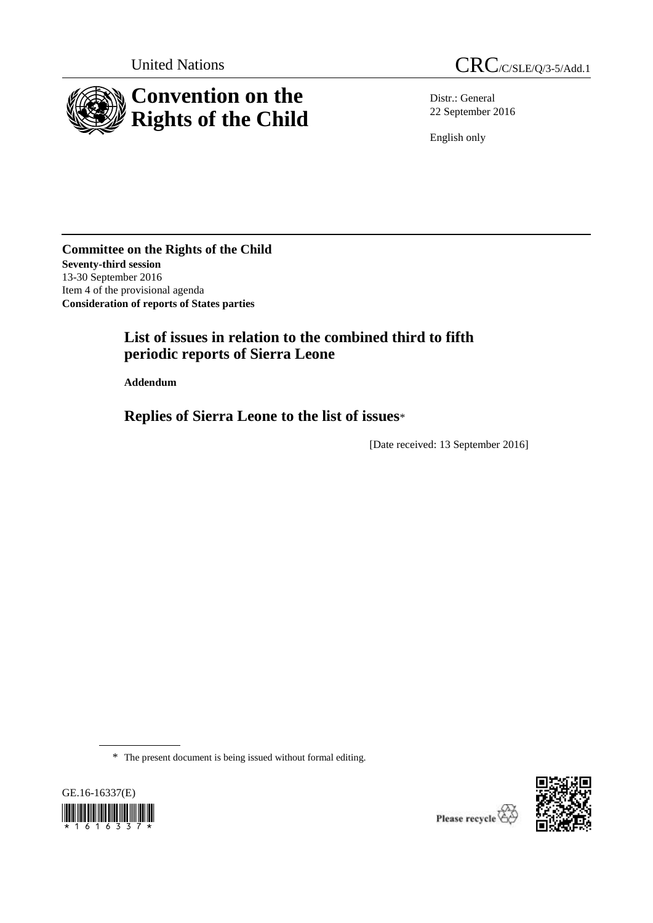

United Nations CRC/C/SLE/Q/3-5/Add.1

Distr.: General 22 September 2016

English only

**Committee on the Rights of the Child Seventy-third session** 13-30 September 2016 Item 4 of the provisional agenda **Consideration of reports of States parties**

# **List of issues in relation to the combined third to fifth periodic reports of Sierra Leone**

**Addendum**

**Replies of Sierra Leone to the list of issues**\*

[Date received: 13 September 2016]

\* The present document is being issued without formal editing.



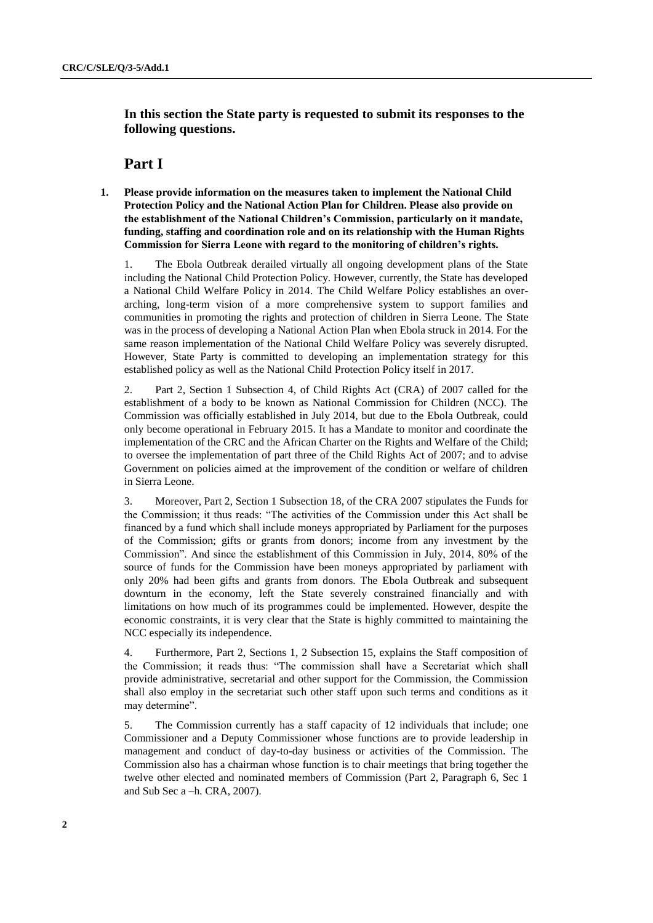**In this section the State party is requested to submit its responses to the following questions.**

## **Part I**

**1. Please provide information on the measures taken to implement the National Child Protection Policy and the National Action Plan for Children. Please also provide on the establishment of the National Children's Commission, particularly on it mandate, funding, staffing and coordination role and on its relationship with the Human Rights Commission for Sierra Leone with regard to the monitoring of children's rights.**

1. The Ebola Outbreak derailed virtually all ongoing development plans of the State including the National Child Protection Policy. However, currently, the State has developed a National Child Welfare Policy in 2014. The Child Welfare Policy establishes an overarching, long-term vision of a more comprehensive system to support families and communities in promoting the rights and protection of children in Sierra Leone. The State was in the process of developing a National Action Plan when Ebola struck in 2014. For the same reason implementation of the National Child Welfare Policy was severely disrupted. However, State Party is committed to developing an implementation strategy for this established policy as well as the National Child Protection Policy itself in 2017.

2. Part 2, Section 1 Subsection 4, of Child Rights Act (CRA) of 2007 called for the establishment of a body to be known as National Commission for Children (NCC). The Commission was officially established in July 2014, but due to the Ebola Outbreak, could only become operational in February 2015. It has a Mandate to monitor and coordinate the implementation of the CRC and the African Charter on the Rights and Welfare of the Child; to oversee the implementation of part three of the Child Rights Act of 2007; and to advise Government on policies aimed at the improvement of the condition or welfare of children in Sierra Leone.

3. Moreover, Part 2, Section 1 Subsection 18, of the CRA 2007 stipulates the Funds for the Commission; it thus reads: "The activities of the Commission under this Act shall be financed by a fund which shall include moneys appropriated by Parliament for the purposes of the Commission; gifts or grants from donors; income from any investment by the Commission". And since the establishment of this Commission in July, 2014, 80% of the source of funds for the Commission have been moneys appropriated by parliament with only 20% had been gifts and grants from donors. The Ebola Outbreak and subsequent downturn in the economy, left the State severely constrained financially and with limitations on how much of its programmes could be implemented. However, despite the economic constraints, it is very clear that the State is highly committed to maintaining the NCC especially its independence.

4. Furthermore, Part 2, Sections 1, 2 Subsection 15, explains the Staff composition of the Commission; it reads thus: "The commission shall have a Secretariat which shall provide administrative, secretarial and other support for the Commission, the Commission shall also employ in the secretariat such other staff upon such terms and conditions as it may determine".

5. The Commission currently has a staff capacity of 12 individuals that include; one Commissioner and a Deputy Commissioner whose functions are to provide leadership in management and conduct of day-to-day business or activities of the Commission. The Commission also has a chairman whose function is to chair meetings that bring together the twelve other elected and nominated members of Commission (Part 2, Paragraph 6, Sec 1 and Sub Sec a –h. CRA, 2007).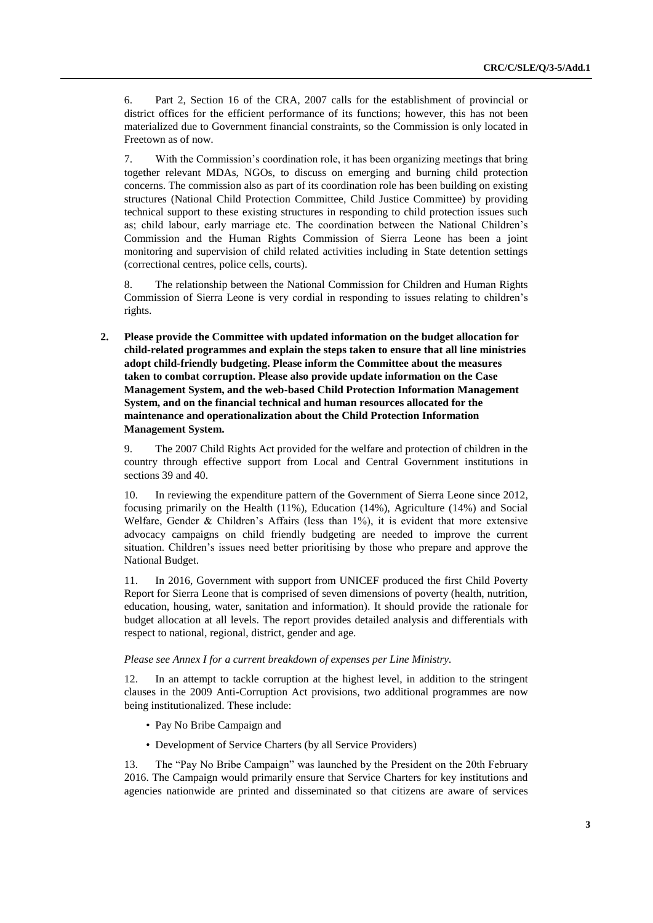6. Part 2, Section 16 of the CRA, 2007 calls for the establishment of provincial or district offices for the efficient performance of its functions; however, this has not been materialized due to Government financial constraints, so the Commission is only located in Freetown as of now.

7. With the Commission's coordination role, it has been organizing meetings that bring together relevant MDAs, NGOs, to discuss on emerging and burning child protection concerns. The commission also as part of its coordination role has been building on existing structures (National Child Protection Committee, Child Justice Committee) by providing technical support to these existing structures in responding to child protection issues such as; child labour, early marriage etc. The coordination between the National Children's Commission and the Human Rights Commission of Sierra Leone has been a joint monitoring and supervision of child related activities including in State detention settings (correctional centres, police cells, courts).

8. The relationship between the National Commission for Children and Human Rights Commission of Sierra Leone is very cordial in responding to issues relating to children's rights.

**2. Please provide the Committee with updated information on the budget allocation for child-related programmes and explain the steps taken to ensure that all line ministries adopt child-friendly budgeting. Please inform the Committee about the measures taken to combat corruption. Please also provide update information on the Case Management System, and the web-based Child Protection Information Management System, and on the financial technical and human resources allocated for the maintenance and operationalization about the Child Protection Information Management System.**

9. The 2007 Child Rights Act provided for the welfare and protection of children in the country through effective support from Local and Central Government institutions in sections 39 and 40.

10. In reviewing the expenditure pattern of the Government of Sierra Leone since 2012, focusing primarily on the Health (11%), Education (14%), Agriculture (14%) and Social Welfare, Gender & Children's Affairs (less than 1%), it is evident that more extensive advocacy campaigns on child friendly budgeting are needed to improve the current situation. Children's issues need better prioritising by those who prepare and approve the National Budget.

11. In 2016, Government with support from UNICEF produced the first Child Poverty Report for Sierra Leone that is comprised of seven dimensions of poverty (health, nutrition, education, housing, water, sanitation and information). It should provide the rationale for budget allocation at all levels. The report provides detailed analysis and differentials with respect to national, regional, district, gender and age.

#### *Please see Annex I for a current breakdown of expenses per Line Ministry.*

12. In an attempt to tackle corruption at the highest level, in addition to the stringent clauses in the 2009 Anti-Corruption Act provisions, two additional programmes are now being institutionalized. These include:

- Pay No Bribe Campaign and
- Development of Service Charters (by all Service Providers)

13. The "Pay No Bribe Campaign" was launched by the President on the 20th February 2016. The Campaign would primarily ensure that Service Charters for key institutions and agencies nationwide are printed and disseminated so that citizens are aware of services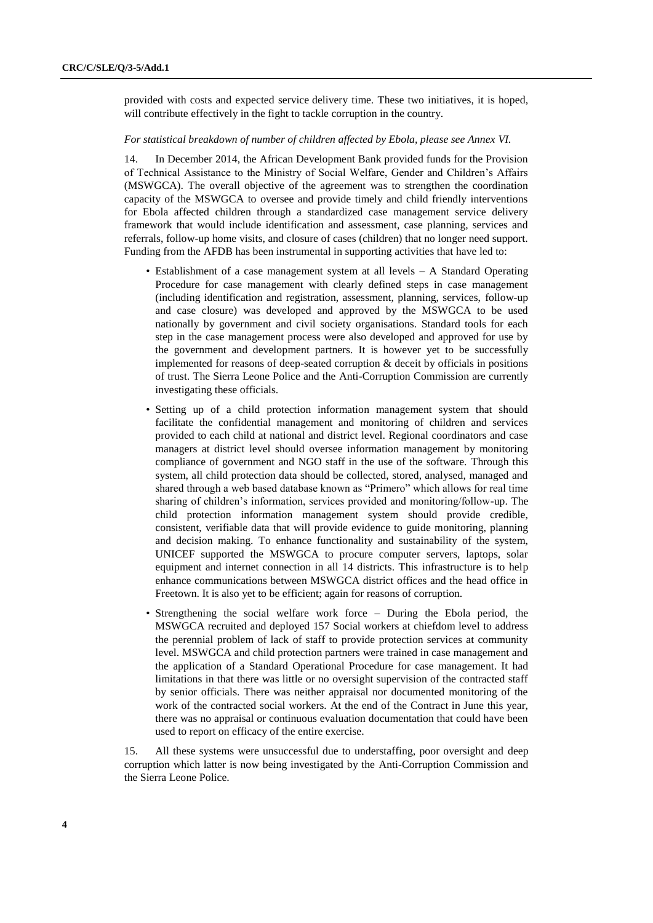provided with costs and expected service delivery time. These two initiatives, it is hoped, will contribute effectively in the fight to tackle corruption in the country.

#### *For statistical breakdown of number of children affected by Ebola, please see Annex VI.*

14. In December 2014, the African Development Bank provided funds for the Provision of Technical Assistance to the Ministry of Social Welfare, Gender and Children's Affairs (MSWGCA). The overall objective of the agreement was to strengthen the coordination capacity of the MSWGCA to oversee and provide timely and child friendly interventions for Ebola affected children through a standardized case management service delivery framework that would include identification and assessment, case planning, services and referrals, follow-up home visits, and closure of cases (children) that no longer need support. Funding from the AFDB has been instrumental in supporting activities that have led to:

- Establishment of a case management system at all levels A Standard Operating Procedure for case management with clearly defined steps in case management (including identification and registration, assessment, planning, services, follow-up and case closure) was developed and approved by the MSWGCA to be used nationally by government and civil society organisations. Standard tools for each step in the case management process were also developed and approved for use by the government and development partners. It is however yet to be successfully implemented for reasons of deep-seated corruption & deceit by officials in positions of trust. The Sierra Leone Police and the Anti-Corruption Commission are currently investigating these officials.
- Setting up of a child protection information management system that should facilitate the confidential management and monitoring of children and services provided to each child at national and district level. Regional coordinators and case managers at district level should oversee information management by monitoring compliance of government and NGO staff in the use of the software. Through this system, all child protection data should be collected, stored, analysed, managed and shared through a web based database known as "Primero" which allows for real time sharing of children's information, services provided and monitoring/follow-up. The child protection information management system should provide credible, consistent, verifiable data that will provide evidence to guide monitoring, planning and decision making. To enhance functionality and sustainability of the system, UNICEF supported the MSWGCA to procure computer servers, laptops, solar equipment and internet connection in all 14 districts. This infrastructure is to help enhance communications between MSWGCA district offices and the head office in Freetown. It is also yet to be efficient; again for reasons of corruption.
- Strengthening the social welfare work force During the Ebola period, the MSWGCA recruited and deployed 157 Social workers at chiefdom level to address the perennial problem of lack of staff to provide protection services at community level. MSWGCA and child protection partners were trained in case management and the application of a Standard Operational Procedure for case management. It had limitations in that there was little or no oversight supervision of the contracted staff by senior officials. There was neither appraisal nor documented monitoring of the work of the contracted social workers. At the end of the Contract in June this year, there was no appraisal or continuous evaluation documentation that could have been used to report on efficacy of the entire exercise.

15. All these systems were unsuccessful due to understaffing, poor oversight and deep corruption which latter is now being investigated by the Anti-Corruption Commission and the Sierra Leone Police.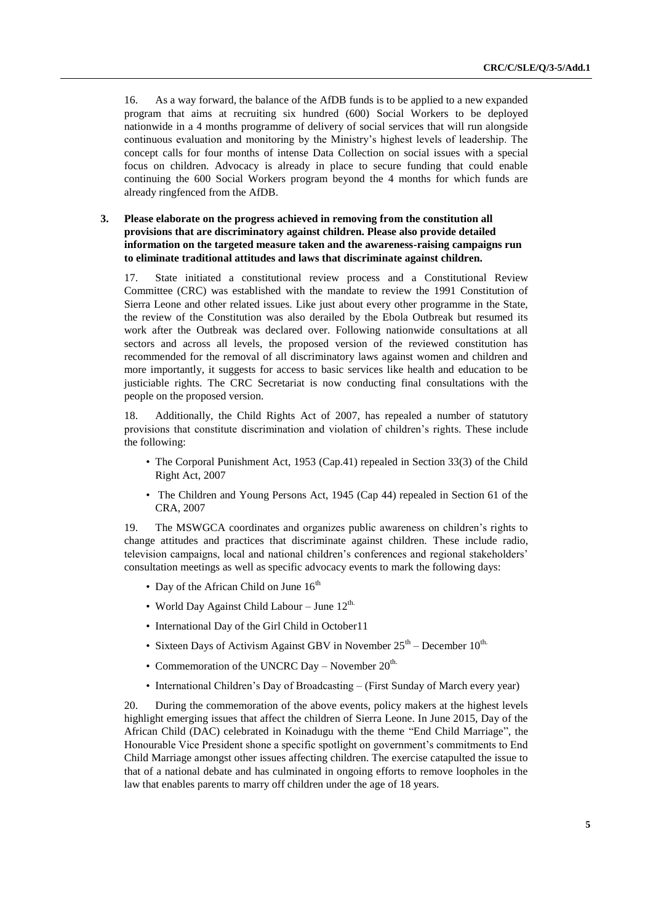16. As a way forward, the balance of the AfDB funds is to be applied to a new expanded program that aims at recruiting six hundred (600) Social Workers to be deployed nationwide in a 4 months programme of delivery of social services that will run alongside continuous evaluation and monitoring by the Ministry's highest levels of leadership. The concept calls for four months of intense Data Collection on social issues with a special focus on children. Advocacy is already in place to secure funding that could enable continuing the 600 Social Workers program beyond the 4 months for which funds are already ringfenced from the AfDB.

#### **3. Please elaborate on the progress achieved in removing from the constitution all provisions that are discriminatory against children. Please also provide detailed information on the targeted measure taken and the awareness-raising campaigns run to eliminate traditional attitudes and laws that discriminate against children.**

17. State initiated a constitutional review process and a Constitutional Review Committee (CRC) was established with the mandate to review the 1991 Constitution of Sierra Leone and other related issues. Like just about every other programme in the State, the review of the Constitution was also derailed by the Ebola Outbreak but resumed its work after the Outbreak was declared over. Following nationwide consultations at all sectors and across all levels, the proposed version of the reviewed constitution has recommended for the removal of all discriminatory laws against women and children and more importantly, it suggests for access to basic services like health and education to be justiciable rights. The CRC Secretariat is now conducting final consultations with the people on the proposed version.

Additionally, the Child Rights Act of 2007, has repealed a number of statutory provisions that constitute discrimination and violation of children's rights. These include the following:

- The Corporal Punishment Act, 1953 (Cap.41) repealed in Section 33(3) of the Child Right Act, 2007
- The Children and Young Persons Act, 1945 (Cap 44) repealed in Section 61 of the CRA, 2007

19. The MSWGCA coordinates and organizes public awareness on children's rights to change attitudes and practices that discriminate against children. These include radio, television campaigns, local and national children's conferences and regional stakeholders' consultation meetings as well as specific advocacy events to mark the following days:

- Day of the African Child on June  $16^{th}$
- World Day Against Child Labour June  $12^{\text{th}}$ .
- International Day of the Girl Child in October11
- Sixteen Days of Activism Against GBV in November  $25^{th}$  December  $10^{th}$ .
- Commemoration of the UNCRC Day November  $20^{\text{th}}$ .
- International Children's Day of Broadcasting (First Sunday of March every year)

20. During the commemoration of the above events, policy makers at the highest levels highlight emerging issues that affect the children of Sierra Leone. In June 2015, Day of the African Child (DAC) celebrated in Koinadugu with the theme "End Child Marriage", the Honourable Vice President shone a specific spotlight on government's commitments to End Child Marriage amongst other issues affecting children. The exercise catapulted the issue to that of a national debate and has culminated in ongoing efforts to remove loopholes in the law that enables parents to marry off children under the age of 18 years.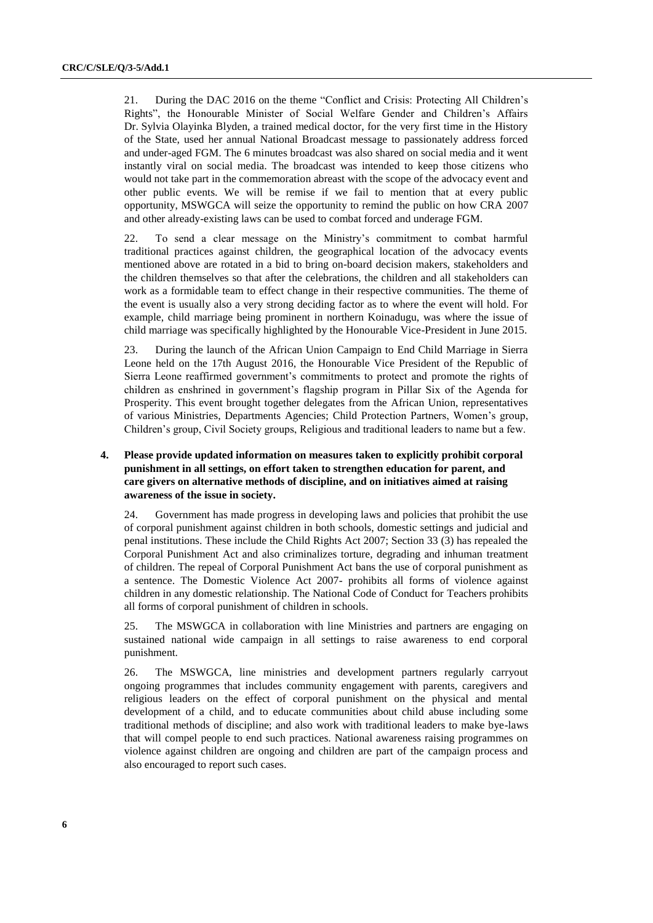21. During the DAC 2016 on the theme "Conflict and Crisis: Protecting All Children's Rights", the Honourable Minister of Social Welfare Gender and Children's Affairs Dr. Sylvia Olayinka Blyden, a trained medical doctor, for the very first time in the History of the State, used her annual National Broadcast message to passionately address forced and under-aged FGM. The 6 minutes broadcast was also shared on social media and it went instantly viral on social media. The broadcast was intended to keep those citizens who would not take part in the commemoration abreast with the scope of the advocacy event and other public events. We will be remise if we fail to mention that at every public opportunity, MSWGCA will seize the opportunity to remind the public on how CRA 2007 and other already-existing laws can be used to combat forced and underage FGM.

22. To send a clear message on the Ministry's commitment to combat harmful traditional practices against children, the geographical location of the advocacy events mentioned above are rotated in a bid to bring on-board decision makers, stakeholders and the children themselves so that after the celebrations, the children and all stakeholders can work as a formidable team to effect change in their respective communities. The theme of the event is usually also a very strong deciding factor as to where the event will hold. For example, child marriage being prominent in northern Koinadugu, was where the issue of child marriage was specifically highlighted by the Honourable Vice-President in June 2015.

23. During the launch of the African Union Campaign to End Child Marriage in Sierra Leone held on the 17th August 2016, the Honourable Vice President of the Republic of Sierra Leone reaffirmed government's commitments to protect and promote the rights of children as enshrined in government's flagship program in Pillar Six of the Agenda for Prosperity. This event brought together delegates from the African Union, representatives of various Ministries, Departments Agencies; Child Protection Partners, Women's group, Children's group, Civil Society groups, Religious and traditional leaders to name but a few.

#### **4. Please provide updated information on measures taken to explicitly prohibit corporal punishment in all settings, on effort taken to strengthen education for parent, and care givers on alternative methods of discipline, and on initiatives aimed at raising awareness of the issue in society.**

24. Government has made progress in developing laws and policies that prohibit the use of corporal punishment against children in both schools, domestic settings and judicial and penal institutions. These include the Child Rights Act 2007; Section 33 (3) has repealed the Corporal Punishment Act and also criminalizes torture, degrading and inhuman treatment of children. The repeal of Corporal Punishment Act bans the use of corporal punishment as a sentence. The Domestic Violence Act 2007- prohibits all forms of violence against children in any domestic relationship. The National Code of Conduct for Teachers prohibits all forms of corporal punishment of children in schools.

25. The MSWGCA in collaboration with line Ministries and partners are engaging on sustained national wide campaign in all settings to raise awareness to end corporal punishment.

26. The MSWGCA, line ministries and development partners regularly carryout ongoing programmes that includes community engagement with parents, caregivers and religious leaders on the effect of corporal punishment on the physical and mental development of a child, and to educate communities about child abuse including some traditional methods of discipline; and also work with traditional leaders to make bye-laws that will compel people to end such practices. National awareness raising programmes on violence against children are ongoing and children are part of the campaign process and also encouraged to report such cases.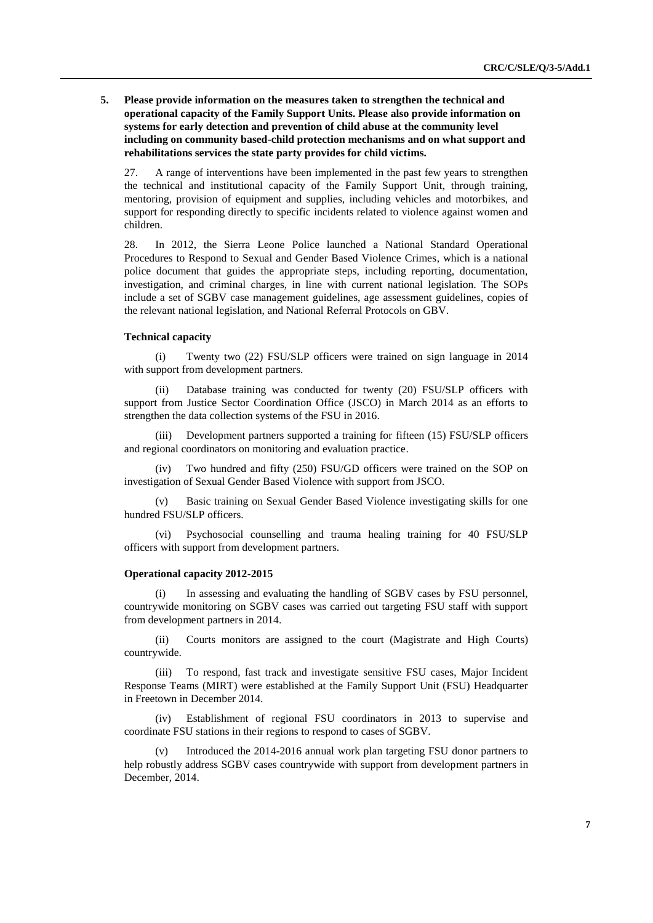**5. Please provide information on the measures taken to strengthen the technical and operational capacity of the Family Support Units. Please also provide information on systems for early detection and prevention of child abuse at the community level including on community based-child protection mechanisms and on what support and rehabilitations services the state party provides for child victims.** 

27. A range of interventions have been implemented in the past few years to strengthen the technical and institutional capacity of the Family Support Unit, through training, mentoring, provision of equipment and supplies, including vehicles and motorbikes, and support for responding directly to specific incidents related to violence against women and children.

28. In 2012, the Sierra Leone Police launched a National Standard Operational Procedures to Respond to Sexual and Gender Based Violence Crimes, which is a national police document that guides the appropriate steps, including reporting, documentation, investigation, and criminal charges, in line with current national legislation. The SOPs include a set of SGBV case management guidelines, age assessment guidelines, copies of the relevant national legislation, and National Referral Protocols on GBV.

#### **Technical capacity**

(i) Twenty two (22) FSU/SLP officers were trained on sign language in 2014 with support from development partners.

Database training was conducted for twenty (20) FSU/SLP officers with support from Justice Sector Coordination Office (JSCO) in March 2014 as an efforts to strengthen the data collection systems of the FSU in 2016.

(iii) Development partners supported a training for fifteen (15) FSU/SLP officers and regional coordinators on monitoring and evaluation practice.

(iv) Two hundred and fifty (250) FSU/GD officers were trained on the SOP on investigation of Sexual Gender Based Violence with support from JSCO.

(v) Basic training on Sexual Gender Based Violence investigating skills for one hundred FSU/SLP officers.

(vi) Psychosocial counselling and trauma healing training for 40 FSU/SLP officers with support from development partners.

#### **Operational capacity 2012-2015**

(i) In assessing and evaluating the handling of SGBV cases by FSU personnel, countrywide monitoring on SGBV cases was carried out targeting FSU staff with support from development partners in 2014.

(ii) Courts monitors are assigned to the court (Magistrate and High Courts) countrywide.

(iii) To respond, fast track and investigate sensitive FSU cases, Major Incident Response Teams (MIRT) were established at the Family Support Unit (FSU) Headquarter in Freetown in December 2014.

(iv) Establishment of regional FSU coordinators in 2013 to supervise and coordinate FSU stations in their regions to respond to cases of SGBV.

(v) Introduced the 2014-2016 annual work plan targeting FSU donor partners to help robustly address SGBV cases countrywide with support from development partners in December, 2014.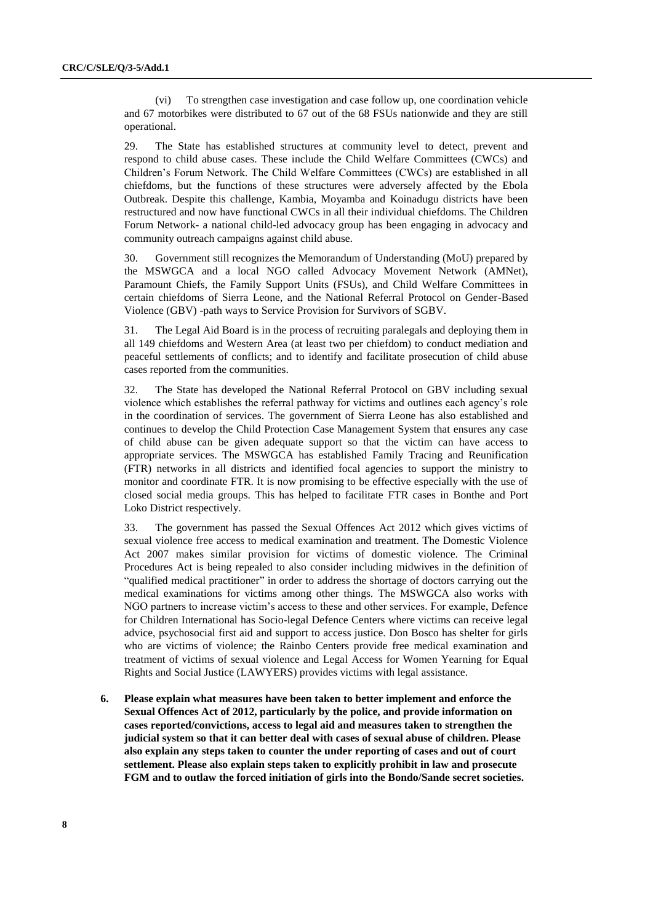(vi) To strengthen case investigation and case follow up, one coordination vehicle and 67 motorbikes were distributed to 67 out of the 68 FSUs nationwide and they are still operational.

29. The State has established structures at community level to detect, prevent and respond to child abuse cases. These include the Child Welfare Committees (CWCs) and Children's Forum Network. The Child Welfare Committees (CWCs) are established in all chiefdoms, but the functions of these structures were adversely affected by the Ebola Outbreak. Despite this challenge, Kambia, Moyamba and Koinadugu districts have been restructured and now have functional CWCs in all their individual chiefdoms. The Children Forum Network- a national child-led advocacy group has been engaging in advocacy and community outreach campaigns against child abuse.

30. Government still recognizes the Memorandum of Understanding (MoU) prepared by the MSWGCA and a local NGO called Advocacy Movement Network (AMNet), Paramount Chiefs, the Family Support Units (FSUs), and Child Welfare Committees in certain chiefdoms of Sierra Leone, and the National Referral Protocol on Gender-Based Violence (GBV) -path ways to Service Provision for Survivors of SGBV.

31. The Legal Aid Board is in the process of recruiting paralegals and deploying them in all 149 chiefdoms and Western Area (at least two per chiefdom) to conduct mediation and peaceful settlements of conflicts; and to identify and facilitate prosecution of child abuse cases reported from the communities.

32. The State has developed the National Referral Protocol on GBV including sexual violence which establishes the referral pathway for victims and outlines each agency's role in the coordination of services. The government of Sierra Leone has also established and continues to develop the Child Protection Case Management System that ensures any case of child abuse can be given adequate support so that the victim can have access to appropriate services. The MSWGCA has established Family Tracing and Reunification (FTR) networks in all districts and identified focal agencies to support the ministry to monitor and coordinate FTR. It is now promising to be effective especially with the use of closed social media groups. This has helped to facilitate FTR cases in Bonthe and Port Loko District respectively.

33. The government has passed the Sexual Offences Act 2012 which gives victims of sexual violence free access to medical examination and treatment. The Domestic Violence Act 2007 makes similar provision for victims of domestic violence. The Criminal Procedures Act is being repealed to also consider including midwives in the definition of "qualified medical practitioner" in order to address the shortage of doctors carrying out the medical examinations for victims among other things. The MSWGCA also works with NGO partners to increase victim's access to these and other services. For example, Defence for Children International has Socio-legal Defence Centers where victims can receive legal advice, psychosocial first aid and support to access justice. Don Bosco has shelter for girls who are victims of violence; the Rainbo Centers provide free medical examination and treatment of victims of sexual violence and Legal Access for Women Yearning for Equal Rights and Social Justice (LAWYERS) provides victims with legal assistance.

**6. Please explain what measures have been taken to better implement and enforce the Sexual Offences Act of 2012, particularly by the police, and provide information on cases reported/convictions, access to legal aid and measures taken to strengthen the judicial system so that it can better deal with cases of sexual abuse of children. Please also explain any steps taken to counter the under reporting of cases and out of court settlement. Please also explain steps taken to explicitly prohibit in law and prosecute FGM and to outlaw the forced initiation of girls into the Bondo/Sande secret societies.**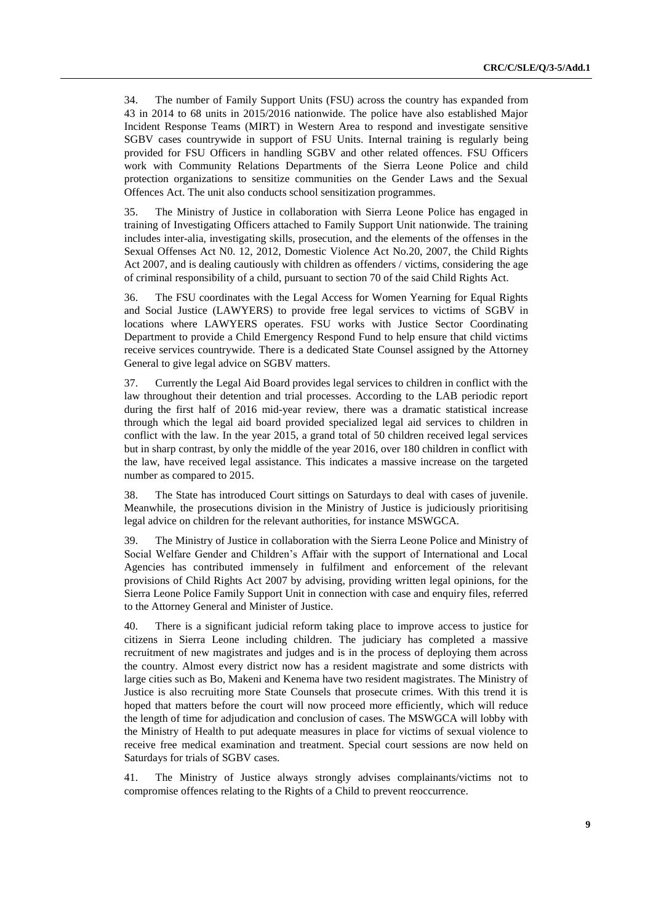34. The number of Family Support Units (FSU) across the country has expanded from 43 in 2014 to 68 units in 2015/2016 nationwide. The police have also established Major Incident Response Teams (MIRT) in Western Area to respond and investigate sensitive SGBV cases countrywide in support of FSU Units. Internal training is regularly being provided for FSU Officers in handling SGBV and other related offences. FSU Officers work with Community Relations Departments of the Sierra Leone Police and child protection organizations to sensitize communities on the Gender Laws and the Sexual Offences Act. The unit also conducts school sensitization programmes.

35. The Ministry of Justice in collaboration with Sierra Leone Police has engaged in training of Investigating Officers attached to Family Support Unit nationwide. The training includes inter-alia, investigating skills, prosecution, and the elements of the offenses in the Sexual Offenses Act N0. 12, 2012, Domestic Violence Act No.20, 2007, the Child Rights Act 2007, and is dealing cautiously with children as offenders / victims, considering the age of criminal responsibility of a child, pursuant to section 70 of the said Child Rights Act.

36. The FSU coordinates with the Legal Access for Women Yearning for Equal Rights and Social Justice (LAWYERS) to provide free legal services to victims of SGBV in locations where LAWYERS operates. FSU works with Justice Sector Coordinating Department to provide a Child Emergency Respond Fund to help ensure that child victims receive services countrywide. There is a dedicated State Counsel assigned by the Attorney General to give legal advice on SGBV matters.

37. Currently the Legal Aid Board provides legal services to children in conflict with the law throughout their detention and trial processes. According to the LAB periodic report during the first half of 2016 mid-year review, there was a dramatic statistical increase through which the legal aid board provided specialized legal aid services to children in conflict with the law. In the year 2015, a grand total of 50 children received legal services but in sharp contrast, by only the middle of the year 2016, over 180 children in conflict with the law, have received legal assistance. This indicates a massive increase on the targeted number as compared to 2015.

38. The State has introduced Court sittings on Saturdays to deal with cases of juvenile. Meanwhile, the prosecutions division in the Ministry of Justice is judiciously prioritising legal advice on children for the relevant authorities, for instance MSWGCA.

39. The Ministry of Justice in collaboration with the Sierra Leone Police and Ministry of Social Welfare Gender and Children's Affair with the support of International and Local Agencies has contributed immensely in fulfilment and enforcement of the relevant provisions of Child Rights Act 2007 by advising, providing written legal opinions, for the Sierra Leone Police Family Support Unit in connection with case and enquiry files, referred to the Attorney General and Minister of Justice.

40. There is a significant judicial reform taking place to improve access to justice for citizens in Sierra Leone including children. The judiciary has completed a massive recruitment of new magistrates and judges and is in the process of deploying them across the country. Almost every district now has a resident magistrate and some districts with large cities such as Bo, Makeni and Kenema have two resident magistrates. The Ministry of Justice is also recruiting more State Counsels that prosecute crimes. With this trend it is hoped that matters before the court will now proceed more efficiently, which will reduce the length of time for adjudication and conclusion of cases. The MSWGCA will lobby with the Ministry of Health to put adequate measures in place for victims of sexual violence to receive free medical examination and treatment. Special court sessions are now held on Saturdays for trials of SGBV cases.

41. The Ministry of Justice always strongly advises complainants/victims not to compromise offences relating to the Rights of a Child to prevent reoccurrence.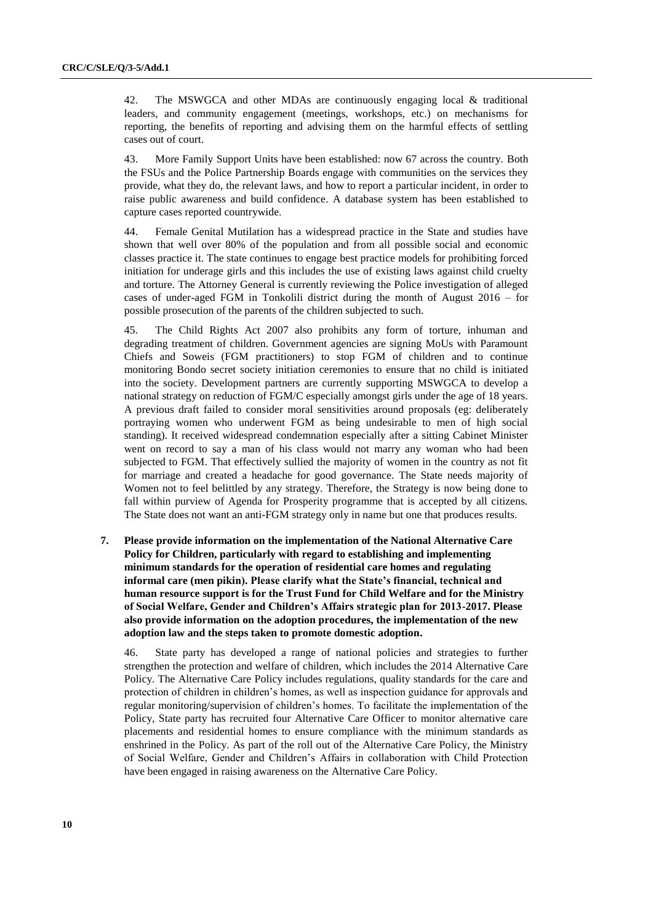42. The MSWGCA and other MDAs are continuously engaging local & traditional leaders, and community engagement (meetings, workshops, etc.) on mechanisms for reporting, the benefits of reporting and advising them on the harmful effects of settling cases out of court.

43. More Family Support Units have been established: now 67 across the country. Both the FSUs and the Police Partnership Boards engage with communities on the services they provide, what they do, the relevant laws, and how to report a particular incident, in order to raise public awareness and build confidence. A database system has been established to capture cases reported countrywide.

44. Female Genital Mutilation has a widespread practice in the State and studies have shown that well over 80% of the population and from all possible social and economic classes practice it. The state continues to engage best practice models for prohibiting forced initiation for underage girls and this includes the use of existing laws against child cruelty and torture. The Attorney General is currently reviewing the Police investigation of alleged cases of under-aged FGM in Tonkolili district during the month of August 2016 – for possible prosecution of the parents of the children subjected to such.

45. The Child Rights Act 2007 also prohibits any form of torture, inhuman and degrading treatment of children. Government agencies are signing MoUs with Paramount Chiefs and Soweis (FGM practitioners) to stop FGM of children and to continue monitoring Bondo secret society initiation ceremonies to ensure that no child is initiated into the society. Development partners are currently supporting MSWGCA to develop a national strategy on reduction of FGM/C especially amongst girls under the age of 18 years. A previous draft failed to consider moral sensitivities around proposals (eg: deliberately portraying women who underwent FGM as being undesirable to men of high social standing). It received widespread condemnation especially after a sitting Cabinet Minister went on record to say a man of his class would not marry any woman who had been subjected to FGM. That effectively sullied the majority of women in the country as not fit for marriage and created a headache for good governance. The State needs majority of Women not to feel belittled by any strategy. Therefore, the Strategy is now being done to fall within purview of Agenda for Prosperity programme that is accepted by all citizens. The State does not want an anti-FGM strategy only in name but one that produces results.

**7. Please provide information on the implementation of the National Alternative Care Policy for Children, particularly with regard to establishing and implementing minimum standards for the operation of residential care homes and regulating informal care (men pikin). Please clarify what the State's financial, technical and human resource support is for the Trust Fund for Child Welfare and for the Ministry of Social Welfare, Gender and Children's Affairs strategic plan for 2013-2017. Please also provide information on the adoption procedures, the implementation of the new adoption law and the steps taken to promote domestic adoption.**

46. State party has developed a range of national policies and strategies to further strengthen the protection and welfare of children, which includes the 2014 Alternative Care Policy. The Alternative Care Policy includes regulations, quality standards for the care and protection of children in children's homes, as well as inspection guidance for approvals and regular monitoring/supervision of children's homes. To facilitate the implementation of the Policy, State party has recruited four Alternative Care Officer to monitor alternative care placements and residential homes to ensure compliance with the minimum standards as enshrined in the Policy. As part of the roll out of the Alternative Care Policy, the Ministry of Social Welfare, Gender and Children's Affairs in collaboration with Child Protection have been engaged in raising awareness on the Alternative Care Policy.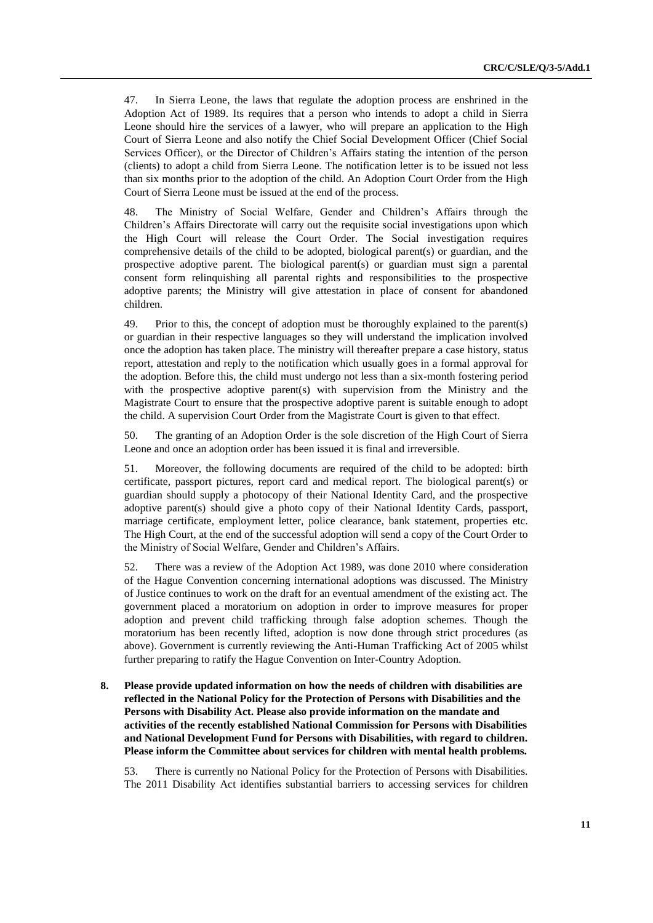47. In Sierra Leone, the laws that regulate the adoption process are enshrined in the Adoption Act of 1989. Its requires that a person who intends to adopt a child in Sierra Leone should hire the services of a lawyer, who will prepare an application to the High Court of Sierra Leone and also notify the Chief Social Development Officer (Chief Social Services Officer), or the Director of Children's Affairs stating the intention of the person (clients) to adopt a child from Sierra Leone. The notification letter is to be issued not less than six months prior to the adoption of the child. An Adoption Court Order from the High Court of Sierra Leone must be issued at the end of the process.

48. The Ministry of Social Welfare, Gender and Children's Affairs through the Children's Affairs Directorate will carry out the requisite social investigations upon which the High Court will release the Court Order. The Social investigation requires comprehensive details of the child to be adopted, biological parent(s) or guardian, and the prospective adoptive parent. The biological parent(s) or guardian must sign a parental consent form relinquishing all parental rights and responsibilities to the prospective adoptive parents; the Ministry will give attestation in place of consent for abandoned children.

49. Prior to this, the concept of adoption must be thoroughly explained to the parent(s) or guardian in their respective languages so they will understand the implication involved once the adoption has taken place. The ministry will thereafter prepare a case history, status report, attestation and reply to the notification which usually goes in a formal approval for the adoption. Before this, the child must undergo not less than a six-month fostering period with the prospective adoptive parent(s) with supervision from the Ministry and the Magistrate Court to ensure that the prospective adoptive parent is suitable enough to adopt the child. A supervision Court Order from the Magistrate Court is given to that effect.

50. The granting of an Adoption Order is the sole discretion of the High Court of Sierra Leone and once an adoption order has been issued it is final and irreversible.

51. Moreover, the following documents are required of the child to be adopted: birth certificate, passport pictures, report card and medical report. The biological parent(s) or guardian should supply a photocopy of their National Identity Card, and the prospective adoptive parent(s) should give a photo copy of their National Identity Cards, passport, marriage certificate, employment letter, police clearance, bank statement, properties etc. The High Court, at the end of the successful adoption will send a copy of the Court Order to the Ministry of Social Welfare, Gender and Children's Affairs.

52. There was a review of the Adoption Act 1989, was done 2010 where consideration of the Hague Convention concerning international adoptions was discussed. The Ministry of Justice continues to work on the draft for an eventual amendment of the existing act. The government placed a moratorium on adoption in order to improve measures for proper adoption and prevent child trafficking through false adoption schemes. Though the moratorium has been recently lifted, adoption is now done through strict procedures (as above). Government is currently reviewing the Anti-Human Trafficking Act of 2005 whilst further preparing to ratify the Hague Convention on Inter-Country Adoption.

**8. Please provide updated information on how the needs of children with disabilities are reflected in the National Policy for the Protection of Persons with Disabilities and the Persons with Disability Act. Please also provide information on the mandate and activities of the recently established National Commission for Persons with Disabilities and National Development Fund for Persons with Disabilities, with regard to children. Please inform the Committee about services for children with mental health problems.**

53. There is currently no National Policy for the Protection of Persons with Disabilities. The 2011 Disability Act identifies substantial barriers to accessing services for children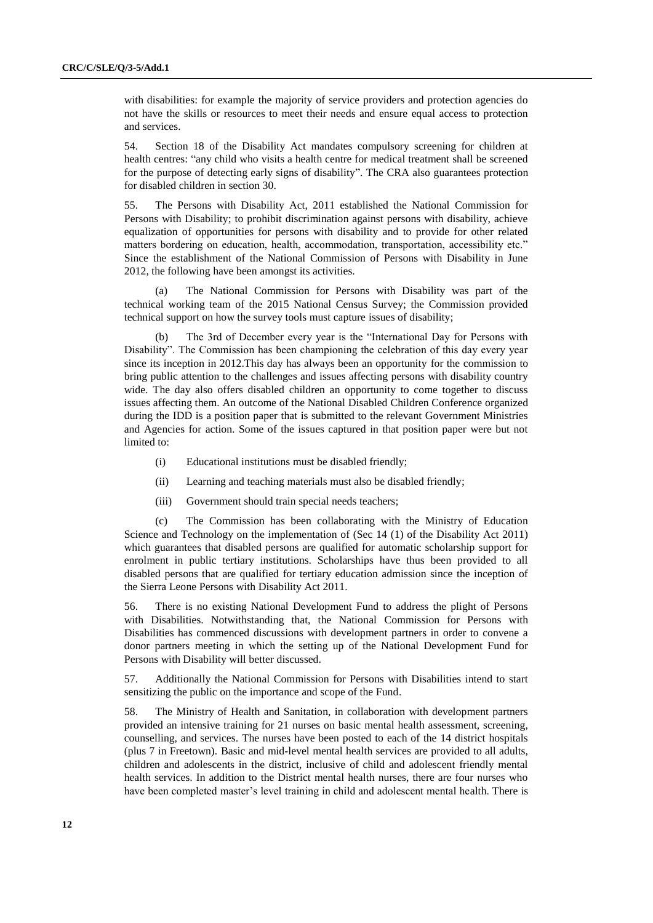with disabilities: for example the majority of service providers and protection agencies do not have the skills or resources to meet their needs and ensure equal access to protection and services.

54. Section 18 of the Disability Act mandates compulsory screening for children at health centres: "any child who visits a health centre for medical treatment shall be screened for the purpose of detecting early signs of disability". The CRA also guarantees protection for disabled children in section 30.

55. The Persons with Disability Act, 2011 established the National Commission for Persons with Disability; to prohibit discrimination against persons with disability, achieve equalization of opportunities for persons with disability and to provide for other related matters bordering on education, health, accommodation, transportation, accessibility etc." Since the establishment of the National Commission of Persons with Disability in June 2012, the following have been amongst its activities.

(a) The National Commission for Persons with Disability was part of the technical working team of the 2015 National Census Survey; the Commission provided technical support on how the survey tools must capture issues of disability;

The 3rd of December every year is the "International Day for Persons with Disability". The Commission has been championing the celebration of this day every year since its inception in 2012.This day has always been an opportunity for the commission to bring public attention to the challenges and issues affecting persons with disability country wide. The day also offers disabled children an opportunity to come together to discuss issues affecting them. An outcome of the National Disabled Children Conference organized during the IDD is a position paper that is submitted to the relevant Government Ministries and Agencies for action. Some of the issues captured in that position paper were but not limited to:

- (i) Educational institutions must be disabled friendly;
- (ii) Learning and teaching materials must also be disabled friendly;
- (iii) Government should train special needs teachers;

(c) The Commission has been collaborating with the Ministry of Education Science and Technology on the implementation of (Sec 14 (1) of the Disability Act 2011) which guarantees that disabled persons are qualified for automatic scholarship support for enrolment in public tertiary institutions. Scholarships have thus been provided to all disabled persons that are qualified for tertiary education admission since the inception of the Sierra Leone Persons with Disability Act 2011.

56. There is no existing National Development Fund to address the plight of Persons with Disabilities. Notwithstanding that, the National Commission for Persons with Disabilities has commenced discussions with development partners in order to convene a donor partners meeting in which the setting up of the National Development Fund for Persons with Disability will better discussed.

57. Additionally the National Commission for Persons with Disabilities intend to start sensitizing the public on the importance and scope of the Fund.

58. The Ministry of Health and Sanitation, in collaboration with development partners provided an intensive training for 21 nurses on basic mental health assessment, screening, counselling, and services. The nurses have been posted to each of the 14 district hospitals (plus 7 in Freetown). Basic and mid-level mental health services are provided to all adults, children and adolescents in the district, inclusive of child and adolescent friendly mental health services. In addition to the District mental health nurses, there are four nurses who have been completed master's level training in child and adolescent mental health. There is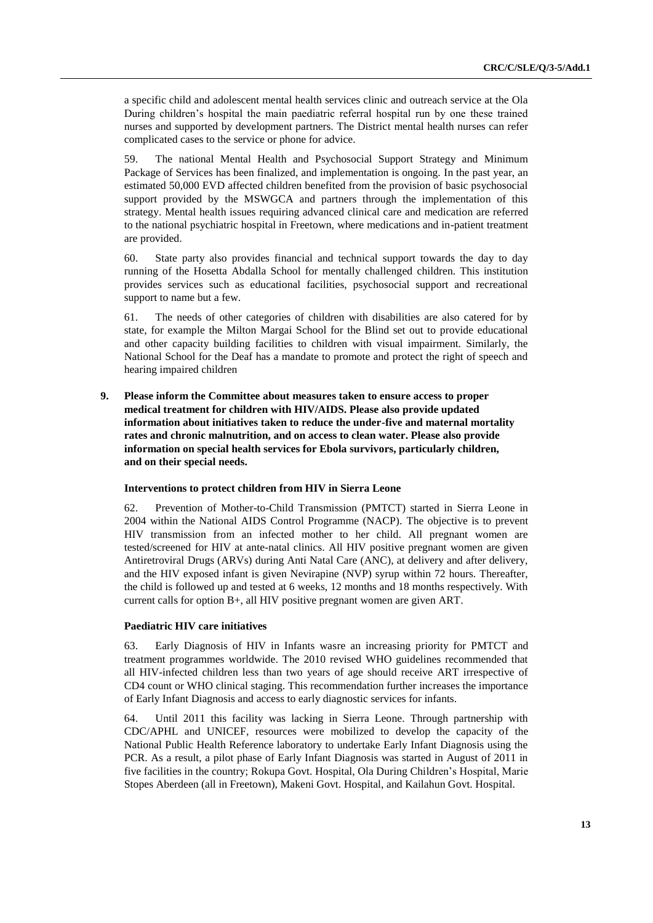a specific child and adolescent mental health services clinic and outreach service at the Ola During children's hospital the main paediatric referral hospital run by one these trained nurses and supported by development partners. The District mental health nurses can refer complicated cases to the service or phone for advice.

59. The national Mental Health and Psychosocial Support Strategy and Minimum Package of Services has been finalized, and implementation is ongoing. In the past year, an estimated 50,000 EVD affected children benefited from the provision of basic psychosocial support provided by the MSWGCA and partners through the implementation of this strategy. Mental health issues requiring advanced clinical care and medication are referred to the national psychiatric hospital in Freetown, where medications and in-patient treatment are provided.

60. State party also provides financial and technical support towards the day to day running of the Hosetta Abdalla School for mentally challenged children. This institution provides services such as educational facilities, psychosocial support and recreational support to name but a few.

61. The needs of other categories of children with disabilities are also catered for by state, for example the Milton Margai School for the Blind set out to provide educational and other capacity building facilities to children with visual impairment. Similarly, the National School for the Deaf has a mandate to promote and protect the right of speech and hearing impaired children

**9. Please inform the Committee about measures taken to ensure access to proper medical treatment for children with HIV/AIDS. Please also provide updated information about initiatives taken to reduce the under-five and maternal mortality rates and chronic malnutrition, and on access to clean water. Please also provide information on special health services for Ebola survivors, particularly children, and on their special needs.**

#### **Interventions to protect children from HIV in Sierra Leone**

62. Prevention of Mother-to-Child Transmission (PMTCT) started in Sierra Leone in 2004 within the National AIDS Control Programme (NACP). The objective is to prevent HIV transmission from an infected mother to her child. All pregnant women are tested/screened for HIV at ante-natal clinics. All HIV positive pregnant women are given Antiretroviral Drugs (ARVs) during Anti Natal Care (ANC), at delivery and after delivery, and the HIV exposed infant is given Nevirapine (NVP) syrup within 72 hours. Thereafter, the child is followed up and tested at 6 weeks, 12 months and 18 months respectively. With current calls for option B+, all HIV positive pregnant women are given ART.

#### **Paediatric HIV care initiatives**

63. Early Diagnosis of HIV in Infants wasre an increasing priority for PMTCT and treatment programmes worldwide. The 2010 revised WHO guidelines recommended that all HIV-infected children less than two years of age should receive ART irrespective of CD4 count or WHO clinical staging. This recommendation further increases the importance of Early Infant Diagnosis and access to early diagnostic services for infants.

64. Until 2011 this facility was lacking in Sierra Leone. Through partnership with CDC/APHL and UNICEF, resources were mobilized to develop the capacity of the National Public Health Reference laboratory to undertake Early Infant Diagnosis using the PCR. As a result, a pilot phase of Early Infant Diagnosis was started in August of 2011 in five facilities in the country; Rokupa Govt. Hospital, Ola During Children's Hospital, Marie Stopes Aberdeen (all in Freetown), Makeni Govt. Hospital, and Kailahun Govt. Hospital.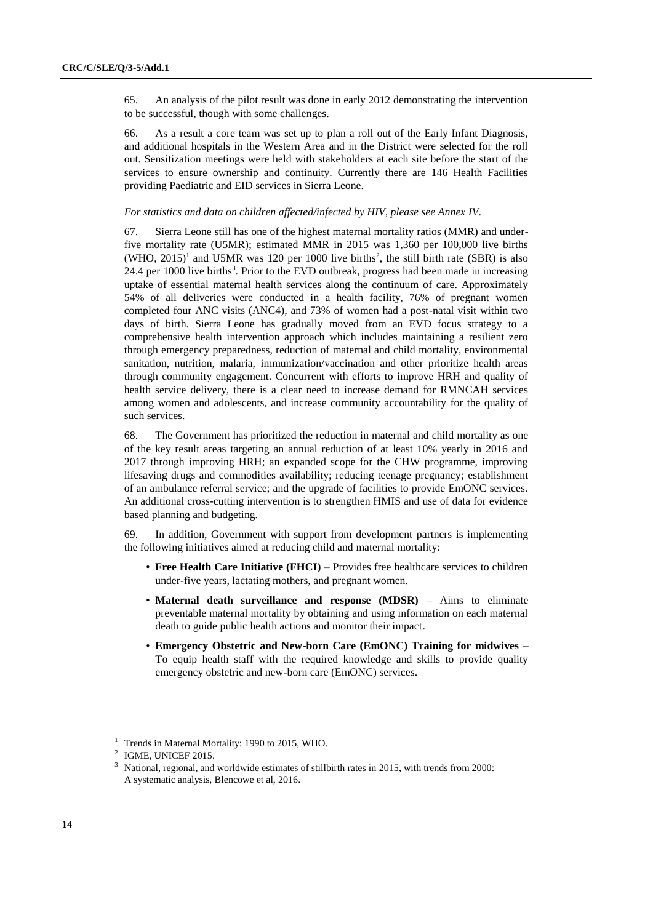65. An analysis of the pilot result was done in early 2012 demonstrating the intervention to be successful, though with some challenges.

66. As a result a core team was set up to plan a roll out of the Early Infant Diagnosis, and additional hospitals in the Western Area and in the District were selected for the roll out. Sensitization meetings were held with stakeholders at each site before the start of the services to ensure ownership and continuity. Currently there are 146 Health Facilities providing Paediatric and EID services in Sierra Leone.

#### *For statistics and data on children affected/infected by HIV, please see Annex IV.*

67. Sierra Leone still has one of the highest maternal mortality ratios (MMR) and underfive mortality rate (U5MR); estimated MMR in 2015 was 1,360 per 100,000 live births  $(WHO, 2015)^1$  and U5MR was 120 per 1000 live births<sup>2</sup>, the still birth rate (SBR) is also 24.4 per 1000 live births<sup>3</sup>. Prior to the EVD outbreak, progress had been made in increasing uptake of essential maternal health services along the continuum of care. Approximately 54% of all deliveries were conducted in a health facility, 76% of pregnant women completed four ANC visits (ANC4), and 73% of women had a post-natal visit within two days of birth. Sierra Leone has gradually moved from an EVD focus strategy to a comprehensive health intervention approach which includes maintaining a resilient zero through emergency preparedness, reduction of maternal and child mortality, environmental sanitation, nutrition, malaria, immunization/vaccination and other prioritize health areas through community engagement. Concurrent with efforts to improve HRH and quality of health service delivery, there is a clear need to increase demand for RMNCAH services among women and adolescents, and increase community accountability for the quality of such services.

68. The Government has prioritized the reduction in maternal and child mortality as one of the key result areas targeting an annual reduction of at least 10% yearly in 2016 and 2017 through improving HRH; an expanded scope for the CHW programme, improving lifesaving drugs and commodities availability; reducing teenage pregnancy; establishment of an ambulance referral service; and the upgrade of facilities to provide EmONC services. An additional cross-cutting intervention is to strengthen HMIS and use of data for evidence based planning and budgeting.

69. In addition, Government with support from development partners is implementing the following initiatives aimed at reducing child and maternal mortality:

- **Free Health Care Initiative (FHCI)** Provides free healthcare services to children under-five years, lactating mothers, and pregnant women.
- **Maternal death surveillance and response (MDSR)** Aims to eliminate preventable maternal mortality by obtaining and using information on each maternal death to guide public health actions and monitor their impact.
- **Emergency Obstetric and New-born Care (EmONC) Training for midwives**  To equip health staff with the required knowledge and skills to provide quality emergency obstetric and new-born care (EmONC) services.

<sup>&</sup>lt;sup>1</sup> Trends in Maternal Mortality: 1990 to 2015, WHO.

<sup>&</sup>lt;sup>2</sup> IGME, UNICEF 2015.

<sup>&</sup>lt;sup>3</sup> National, regional, and worldwide estimates of stillbirth rates in 2015, with trends from 2000: A systematic analysis, Blencowe et al, 2016.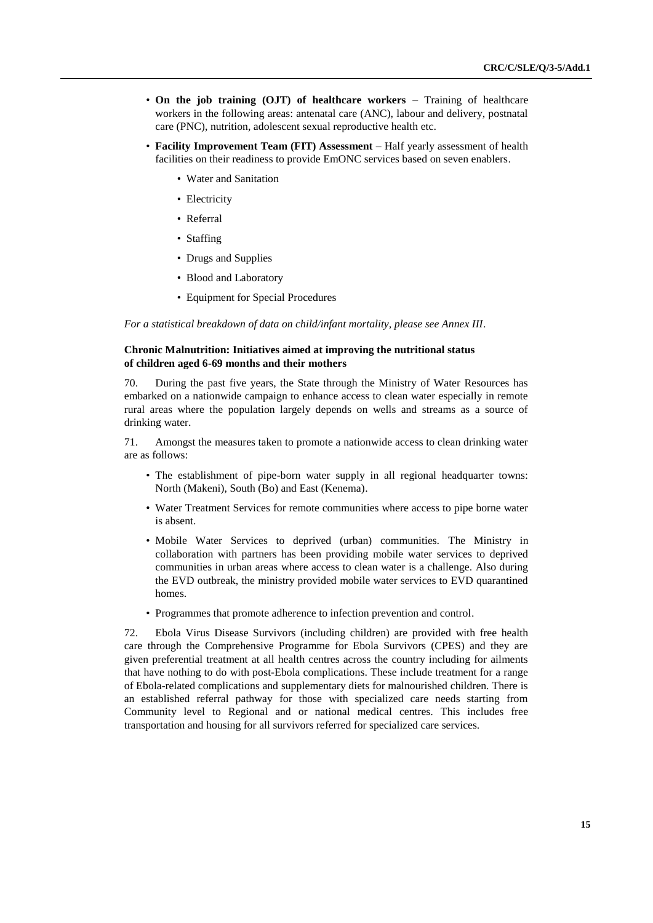- **On the job training (OJT) of healthcare workers** Training of healthcare workers in the following areas: antenatal care (ANC), labour and delivery, postnatal care (PNC), nutrition, adolescent sexual reproductive health etc.
- **Facility Improvement Team (FIT) Assessment** Half yearly assessment of health facilities on their readiness to provide EmONC services based on seven enablers.
	- Water and Sanitation
	- Electricity
	- Referral
	- Staffing
	- Drugs and Supplies
	- Blood and Laboratory
	- Equipment for Special Procedures

*For a statistical breakdown of data on child/infant mortality, please see Annex III.*

#### **Chronic Malnutrition: Initiatives aimed at improving the nutritional status of children aged 6-69 months and their mothers**

70. During the past five years, the State through the Ministry of Water Resources has embarked on a nationwide campaign to enhance access to clean water especially in remote rural areas where the population largely depends on wells and streams as a source of drinking water.

71. Amongst the measures taken to promote a nationwide access to clean drinking water are as follows:

- The establishment of pipe-born water supply in all regional headquarter towns: North (Makeni), South (Bo) and East (Kenema).
- Water Treatment Services for remote communities where access to pipe borne water is absent.
- Mobile Water Services to deprived (urban) communities. The Ministry in collaboration with partners has been providing mobile water services to deprived communities in urban areas where access to clean water is a challenge. Also during the EVD outbreak, the ministry provided mobile water services to EVD quarantined homes.
- Programmes that promote adherence to infection prevention and control.

72. Ebola Virus Disease Survivors (including children) are provided with free health care through the Comprehensive Programme for Ebola Survivors (CPES) and they are given preferential treatment at all health centres across the country including for ailments that have nothing to do with post-Ebola complications. These include treatment for a range of Ebola-related complications and supplementary diets for malnourished children. There is an established referral pathway for those with specialized care needs starting from Community level to Regional and or national medical centres. This includes free transportation and housing for all survivors referred for specialized care services.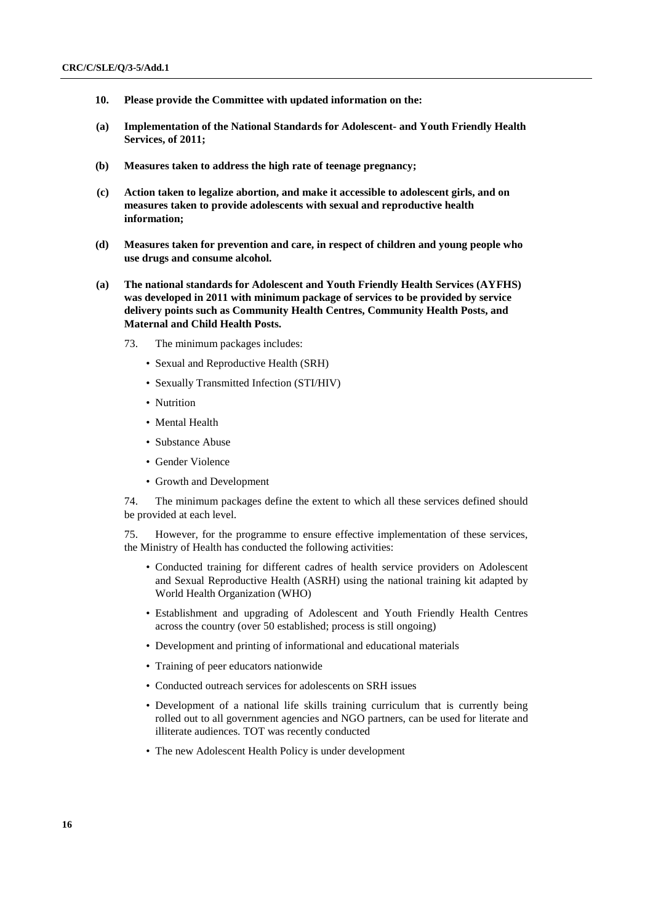- **10. Please provide the Committee with updated information on the:**
- **(a) Implementation of the National Standards for Adolescent- and Youth Friendly Health Services, of 2011;**
- **(b) Measures taken to address the high rate of teenage pregnancy;**
- **(c) Action taken to legalize abortion, and make it accessible to adolescent girls, and on measures taken to provide adolescents with sexual and reproductive health information;**
- **(d) Measures taken for prevention and care, in respect of children and young people who use drugs and consume alcohol.**
- **(a) The national standards for Adolescent and Youth Friendly Health Services (AYFHS) was developed in 2011 with minimum package of services to be provided by service delivery points such as Community Health Centres, Community Health Posts, and Maternal and Child Health Posts.**
	- 73. The minimum packages includes:
		- Sexual and Reproductive Health (SRH)
		- Sexually Transmitted Infection (STI/HIV)
		- Nutrition
		- Mental Health
		- Substance Abuse
		- Gender Violence
		- Growth and Development

74. The minimum packages define the extent to which all these services defined should be provided at each level.

75. However, for the programme to ensure effective implementation of these services, the Ministry of Health has conducted the following activities:

- Conducted training for different cadres of health service providers on Adolescent and Sexual Reproductive Health (ASRH) using the national training kit adapted by World Health Organization (WHO)
- Establishment and upgrading of Adolescent and Youth Friendly Health Centres across the country (over 50 established; process is still ongoing)
- Development and printing of informational and educational materials
- Training of peer educators nationwide
- Conducted outreach services for adolescents on SRH issues
- Development of a national life skills training curriculum that is currently being rolled out to all government agencies and NGO partners, can be used for literate and illiterate audiences. TOT was recently conducted
- The new Adolescent Health Policy is under development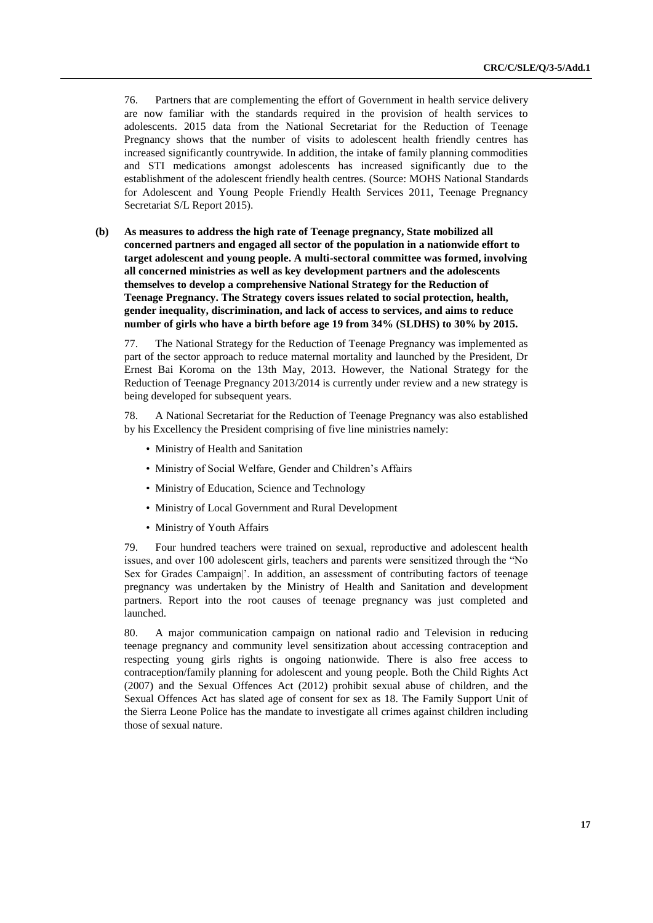76. Partners that are complementing the effort of Government in health service delivery are now familiar with the standards required in the provision of health services to adolescents. 2015 data from the National Secretariat for the Reduction of Teenage Pregnancy shows that the number of visits to adolescent health friendly centres has increased significantly countrywide. In addition, the intake of family planning commodities and STI medications amongst adolescents has increased significantly due to the establishment of the adolescent friendly health centres. (Source: MOHS National Standards for Adolescent and Young People Friendly Health Services 2011, Teenage Pregnancy Secretariat S/L Report 2015).

**(b) As measures to address the high rate of Teenage pregnancy, State mobilized all concerned partners and engaged all sector of the population in a nationwide effort to target adolescent and young people. A multi-sectoral committee was formed, involving all concerned ministries as well as key development partners and the adolescents themselves to develop a comprehensive National Strategy for the Reduction of Teenage Pregnancy. The Strategy covers issues related to social protection, health, gender inequality, discrimination, and lack of access to services, and aims to reduce number of girls who have a birth before age 19 from 34% (SLDHS) to 30% by 2015.**

77. The National Strategy for the Reduction of Teenage Pregnancy was implemented as part of the sector approach to reduce maternal mortality and launched by the President, Dr Ernest Bai Koroma on the 13th May, 2013. However, the National Strategy for the Reduction of Teenage Pregnancy 2013/2014 is currently under review and a new strategy is being developed for subsequent years.

78. A National Secretariat for the Reduction of Teenage Pregnancy was also established by his Excellency the President comprising of five line ministries namely:

- Ministry of Health and Sanitation
- Ministry of Social Welfare, Gender and Children's Affairs
- Ministry of Education, Science and Technology
- Ministry of Local Government and Rural Development
- Ministry of Youth Affairs

79. Four hundred teachers were trained on sexual, reproductive and adolescent health issues, and over 100 adolescent girls, teachers and parents were sensitized through the "No Sex for Grades Campaign|'. In addition, an assessment of contributing factors of teenage pregnancy was undertaken by the Ministry of Health and Sanitation and development partners. Report into the root causes of teenage pregnancy was just completed and launched.

80. A major communication campaign on national radio and Television in reducing teenage pregnancy and community level sensitization about accessing contraception and respecting young girls rights is ongoing nationwide. There is also free access to contraception/family planning for adolescent and young people. Both the Child Rights Act (2007) and the Sexual Offences Act (2012) prohibit sexual abuse of children, and the Sexual Offences Act has slated age of consent for sex as 18. The Family Support Unit of the Sierra Leone Police has the mandate to investigate all crimes against children including those of sexual nature.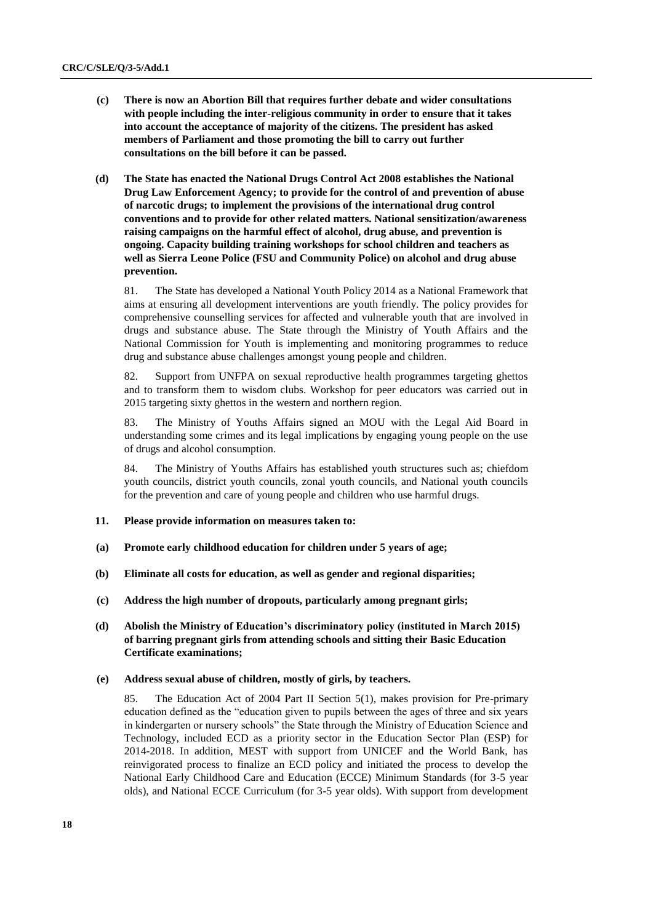- **(c) There is now an Abortion Bill that requires further debate and wider consultations with people including the inter-religious community in order to ensure that it takes into account the acceptance of majority of the citizens. The president has asked members of Parliament and those promoting the bill to carry out further consultations on the bill before it can be passed.**
- **(d) The State has enacted the National Drugs Control Act 2008 establishes the National Drug Law Enforcement Agency; to provide for the control of and prevention of abuse of narcotic drugs; to implement the provisions of the international drug control conventions and to provide for other related matters. National sensitization/awareness raising campaigns on the harmful effect of alcohol, drug abuse, and prevention is ongoing. Capacity building training workshops for school children and teachers as well as Sierra Leone Police (FSU and Community Police) on alcohol and drug abuse prevention.**

81. The State has developed a National Youth Policy 2014 as a National Framework that aims at ensuring all development interventions are youth friendly. The policy provides for comprehensive counselling services for affected and vulnerable youth that are involved in drugs and substance abuse. The State through the Ministry of Youth Affairs and the National Commission for Youth is implementing and monitoring programmes to reduce drug and substance abuse challenges amongst young people and children.

82. Support from UNFPA on sexual reproductive health programmes targeting ghettos and to transform them to wisdom clubs. Workshop for peer educators was carried out in 2015 targeting sixty ghettos in the western and northern region.

83. The Ministry of Youths Affairs signed an MOU with the Legal Aid Board in understanding some crimes and its legal implications by engaging young people on the use of drugs and alcohol consumption.

84. The Ministry of Youths Affairs has established youth structures such as; chiefdom youth councils, district youth councils, zonal youth councils, and National youth councils for the prevention and care of young people and children who use harmful drugs.

- **11. Please provide information on measures taken to:**
- **(a) Promote early childhood education for children under 5 years of age;**
- **(b) Eliminate all costs for education, as well as gender and regional disparities;**
- **(c) Address the high number of dropouts, particularly among pregnant girls;**
- **(d) Abolish the Ministry of Education's discriminatory policy (instituted in March 2015) of barring pregnant girls from attending schools and sitting their Basic Education Certificate examinations;**

#### **(e) Address sexual abuse of children, mostly of girls, by teachers.**

85. The Education Act of 2004 Part II Section 5(1), makes provision for Pre-primary education defined as the "education given to pupils between the ages of three and six years in kindergarten or nursery schools" the State through the Ministry of Education Science and Technology, included ECD as a priority sector in the Education Sector Plan (ESP) for 2014-2018. In addition, MEST with support from UNICEF and the World Bank, has reinvigorated process to finalize an ECD policy and initiated the process to develop the National Early Childhood Care and Education (ECCE) Minimum Standards (for 3-5 year olds), and National ECCE Curriculum (for 3-5 year olds). With support from development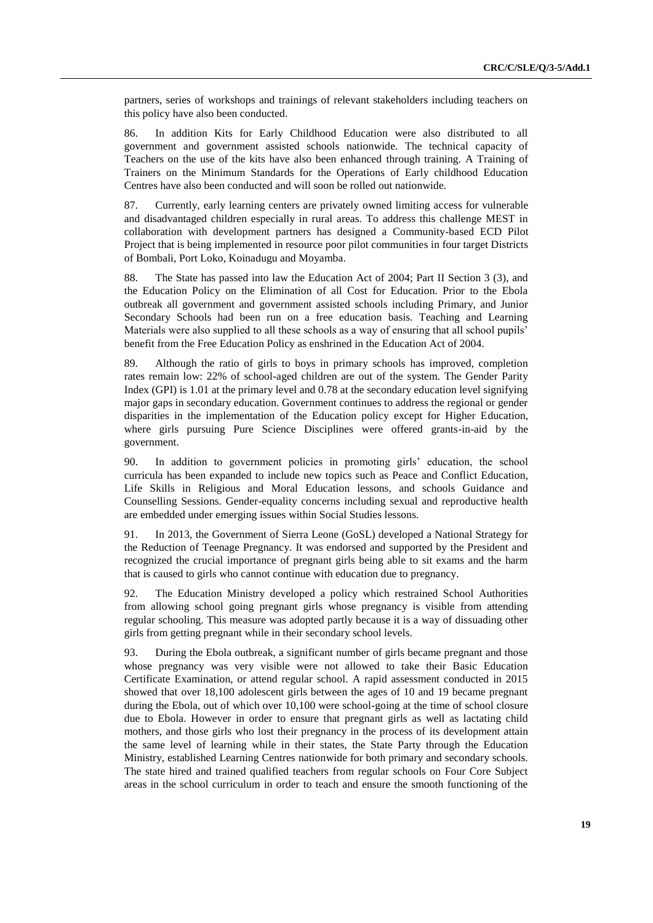partners, series of workshops and trainings of relevant stakeholders including teachers on this policy have also been conducted.

86. In addition Kits for Early Childhood Education were also distributed to all government and government assisted schools nationwide. The technical capacity of Teachers on the use of the kits have also been enhanced through training. A Training of Trainers on the Minimum Standards for the Operations of Early childhood Education Centres have also been conducted and will soon be rolled out nationwide.

87. Currently, early learning centers are privately owned limiting access for vulnerable and disadvantaged children especially in rural areas. To address this challenge MEST in collaboration with development partners has designed a Community-based ECD Pilot Project that is being implemented in resource poor pilot communities in four target Districts of Bombali, Port Loko, Koinadugu and Moyamba.

88. The State has passed into law the Education Act of 2004; Part II Section 3 (3), and the Education Policy on the Elimination of all Cost for Education. Prior to the Ebola outbreak all government and government assisted schools including Primary, and Junior Secondary Schools had been run on a free education basis. Teaching and Learning Materials were also supplied to all these schools as a way of ensuring that all school pupils' benefit from the Free Education Policy as enshrined in the Education Act of 2004.

89. Although the ratio of girls to boys in primary schools has improved, completion rates remain low: 22% of school-aged children are out of the system. The Gender Parity Index (GPI) is 1.01 at the primary level and 0.78 at the secondary education level signifying major gaps in secondary education. Government continues to address the regional or gender disparities in the implementation of the Education policy except for Higher Education, where girls pursuing Pure Science Disciplines were offered grants-in-aid by the government.

90. In addition to government policies in promoting girls' education, the school curricula has been expanded to include new topics such as Peace and Conflict Education, Life Skills in Religious and Moral Education lessons, and schools Guidance and Counselling Sessions. Gender-equality concerns including sexual and reproductive health are embedded under emerging issues within Social Studies lessons.

91. In 2013, the Government of Sierra Leone (GoSL) developed a National Strategy for the Reduction of Teenage Pregnancy. It was endorsed and supported by the President and recognized the crucial importance of pregnant girls being able to sit exams and the harm that is caused to girls who cannot continue with education due to pregnancy.

92. The Education Ministry developed a policy which restrained School Authorities from allowing school going pregnant girls whose pregnancy is visible from attending regular schooling. This measure was adopted partly because it is a way of dissuading other girls from getting pregnant while in their secondary school levels.

93. During the Ebola outbreak, a significant number of girls became pregnant and those whose pregnancy was very visible were not allowed to take their Basic Education Certificate Examination, or attend regular school. A rapid assessment conducted in 2015 showed that over 18,100 adolescent girls between the ages of 10 and 19 became pregnant during the Ebola, out of which over 10,100 were school-going at the time of school closure due to Ebola. However in order to ensure that pregnant girls as well as lactating child mothers, and those girls who lost their pregnancy in the process of its development attain the same level of learning while in their states, the State Party through the Education Ministry, established Learning Centres nationwide for both primary and secondary schools. The state hired and trained qualified teachers from regular schools on Four Core Subject areas in the school curriculum in order to teach and ensure the smooth functioning of the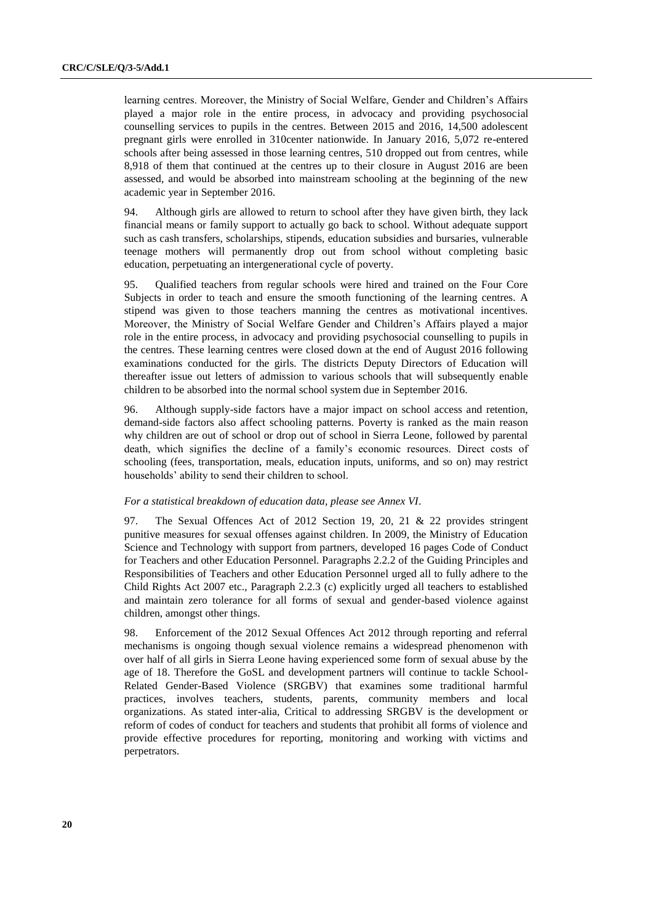learning centres. Moreover, the Ministry of Social Welfare, Gender and Children's Affairs played a major role in the entire process, in advocacy and providing psychosocial counselling services to pupils in the centres. Between 2015 and 2016, 14,500 adolescent pregnant girls were enrolled in 310center nationwide. In January 2016, 5,072 re-entered schools after being assessed in those learning centres, 510 dropped out from centres, while 8,918 of them that continued at the centres up to their closure in August 2016 are been assessed, and would be absorbed into mainstream schooling at the beginning of the new academic year in September 2016.

94. Although girls are allowed to return to school after they have given birth, they lack financial means or family support to actually go back to school. Without adequate support such as cash transfers, scholarships, stipends, education subsidies and bursaries, vulnerable teenage mothers will permanently drop out from school without completing basic education, perpetuating an intergenerational cycle of poverty.

95. Qualified teachers from regular schools were hired and trained on the Four Core Subjects in order to teach and ensure the smooth functioning of the learning centres. A stipend was given to those teachers manning the centres as motivational incentives. Moreover, the Ministry of Social Welfare Gender and Children's Affairs played a major role in the entire process, in advocacy and providing psychosocial counselling to pupils in the centres. These learning centres were closed down at the end of August 2016 following examinations conducted for the girls. The districts Deputy Directors of Education will thereafter issue out letters of admission to various schools that will subsequently enable children to be absorbed into the normal school system due in September 2016.

96. Although supply-side factors have a major impact on school access and retention, demand-side factors also affect schooling patterns. Poverty is ranked as the main reason why children are out of school or drop out of school in Sierra Leone, followed by parental death, which signifies the decline of a family's economic resources. Direct costs of schooling (fees, transportation, meals, education inputs, uniforms, and so on) may restrict households' ability to send their children to school.

#### *For a statistical breakdown of education data, please see Annex VI.*

97. The Sexual Offences Act of 2012 Section 19, 20, 21 & 22 provides stringent punitive measures for sexual offenses against children. In 2009, the Ministry of Education Science and Technology with support from partners, developed 16 pages Code of Conduct for Teachers and other Education Personnel. Paragraphs 2.2.2 of the Guiding Principles and Responsibilities of Teachers and other Education Personnel urged all to fully adhere to the Child Rights Act 2007 etc., Paragraph 2.2.3 (c) explicitly urged all teachers to established and maintain zero tolerance for all forms of sexual and gender-based violence against children, amongst other things.

98. Enforcement of the 2012 Sexual Offences Act 2012 through reporting and referral mechanisms is ongoing though sexual violence remains a widespread phenomenon with over half of all girls in Sierra Leone having experienced some form of sexual abuse by the age of 18. Therefore the GoSL and development partners will continue to tackle School-Related Gender-Based Violence (SRGBV) that examines some traditional harmful practices, involves teachers, students, parents, community members and local organizations. As stated inter-alia, Critical to addressing SRGBV is the development or reform of codes of conduct for teachers and students that prohibit all forms of violence and provide effective procedures for reporting, monitoring and working with victims and perpetrators.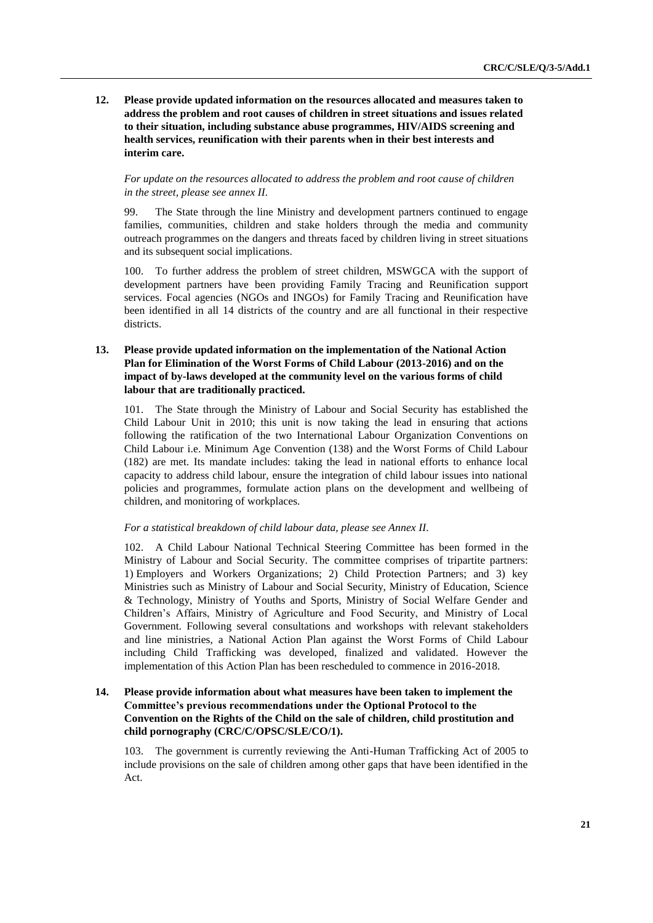**12. Please provide updated information on the resources allocated and measures taken to address the problem and root causes of children in street situations and issues related to their situation, including substance abuse programmes, HIV/AIDS screening and health services, reunification with their parents when in their best interests and interim care.**

*For update on the resources allocated to address the problem and root cause of children in the street, please see annex II.*

99. The State through the line Ministry and development partners continued to engage families, communities, children and stake holders through the media and community outreach programmes on the dangers and threats faced by children living in street situations and its subsequent social implications.

100. To further address the problem of street children, MSWGCA with the support of development partners have been providing Family Tracing and Reunification support services. Focal agencies (NGOs and INGOs) for Family Tracing and Reunification have been identified in all 14 districts of the country and are all functional in their respective districts.

#### **13. Please provide updated information on the implementation of the National Action Plan for Elimination of the Worst Forms of Child Labour (2013-2016) and on the impact of by-laws developed at the community level on the various forms of child labour that are traditionally practiced.**

101. The State through the Ministry of Labour and Social Security has established the Child Labour Unit in 2010; this unit is now taking the lead in ensuring that actions following the ratification of the two International Labour Organization Conventions on Child Labour i.e. Minimum Age Convention (138) and the Worst Forms of Child Labour (182) are met. Its mandate includes: taking the lead in national efforts to enhance local capacity to address child labour, ensure the integration of child labour issues into national policies and programmes, formulate action plans on the development and wellbeing of children, and monitoring of workplaces.

#### *For a statistical breakdown of child labour data, please see Annex II.*

102. A Child Labour National Technical Steering Committee has been formed in the Ministry of Labour and Social Security. The committee comprises of tripartite partners: 1) Employers and Workers Organizations; 2) Child Protection Partners; and 3) key Ministries such as Ministry of Labour and Social Security, Ministry of Education, Science & Technology, Ministry of Youths and Sports, Ministry of Social Welfare Gender and Children's Affairs, Ministry of Agriculture and Food Security, and Ministry of Local Government. Following several consultations and workshops with relevant stakeholders and line ministries, a National Action Plan against the Worst Forms of Child Labour including Child Trafficking was developed, finalized and validated. However the implementation of this Action Plan has been rescheduled to commence in 2016-2018.

#### **14. Please provide information about what measures have been taken to implement the Committee's previous recommendations under the Optional Protocol to the Convention on the Rights of the Child on the sale of children, child prostitution and child pornography (CRC/C/OPSC/SLE/CO/1).**

103. The government is currently reviewing the Anti-Human Trafficking Act of 2005 to include provisions on the sale of children among other gaps that have been identified in the Act.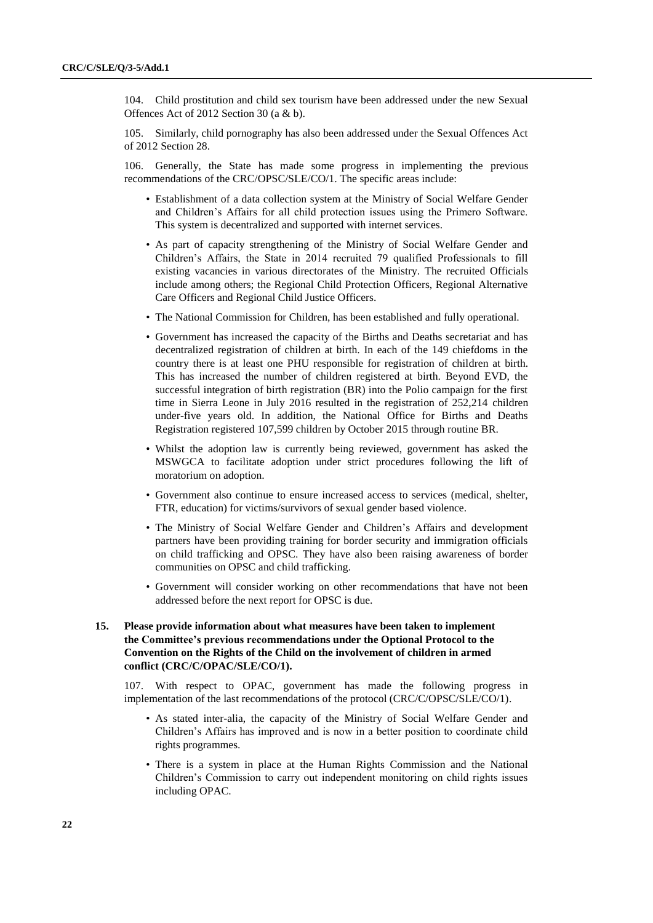104. Child prostitution and child sex tourism have been addressed under the new Sexual Offences Act of 2012 Section 30 (a & b).

105. Similarly, child pornography has also been addressed under the Sexual Offences Act of 2012 Section 28.

106. Generally, the State has made some progress in implementing the previous recommendations of the CRC/OPSC/SLE/CO/1. The specific areas include:

- Establishment of a data collection system at the Ministry of Social Welfare Gender and Children's Affairs for all child protection issues using the Primero Software. This system is decentralized and supported with internet services.
- As part of capacity strengthening of the Ministry of Social Welfare Gender and Children's Affairs, the State in 2014 recruited 79 qualified Professionals to fill existing vacancies in various directorates of the Ministry. The recruited Officials include among others; the Regional Child Protection Officers, Regional Alternative Care Officers and Regional Child Justice Officers.
- The National Commission for Children, has been established and fully operational.
- Government has increased the capacity of the Births and Deaths secretariat and has decentralized registration of children at birth. In each of the 149 chiefdoms in the country there is at least one PHU responsible for registration of children at birth. This has increased the number of children registered at birth. Beyond EVD, the successful integration of birth registration (BR) into the Polio campaign for the first time in Sierra Leone in July 2016 resulted in the registration of 252,214 children under-five years old. In addition, the National Office for Births and Deaths Registration registered 107,599 children by October 2015 through routine BR.
- Whilst the adoption law is currently being reviewed, government has asked the MSWGCA to facilitate adoption under strict procedures following the lift of moratorium on adoption.
- Government also continue to ensure increased access to services (medical, shelter, FTR, education) for victims/survivors of sexual gender based violence.
- The Ministry of Social Welfare Gender and Children's Affairs and development partners have been providing training for border security and immigration officials on child trafficking and OPSC. They have also been raising awareness of border communities on OPSC and child trafficking.
- Government will consider working on other recommendations that have not been addressed before the next report for OPSC is due.

#### **15. Please provide information about what measures have been taken to implement the Committee's previous recommendations under the Optional Protocol to the Convention on the Rights of the Child on the involvement of children in armed conflict (CRC/C/OPAC/SLE/CO/1).**

107. With respect to OPAC, government has made the following progress in implementation of the last recommendations of the protocol (CRC/C/OPSC/SLE/CO/1).

- As stated inter-alia, the capacity of the Ministry of Social Welfare Gender and Children's Affairs has improved and is now in a better position to coordinate child rights programmes.
- There is a system in place at the Human Rights Commission and the National Children's Commission to carry out independent monitoring on child rights issues including OPAC.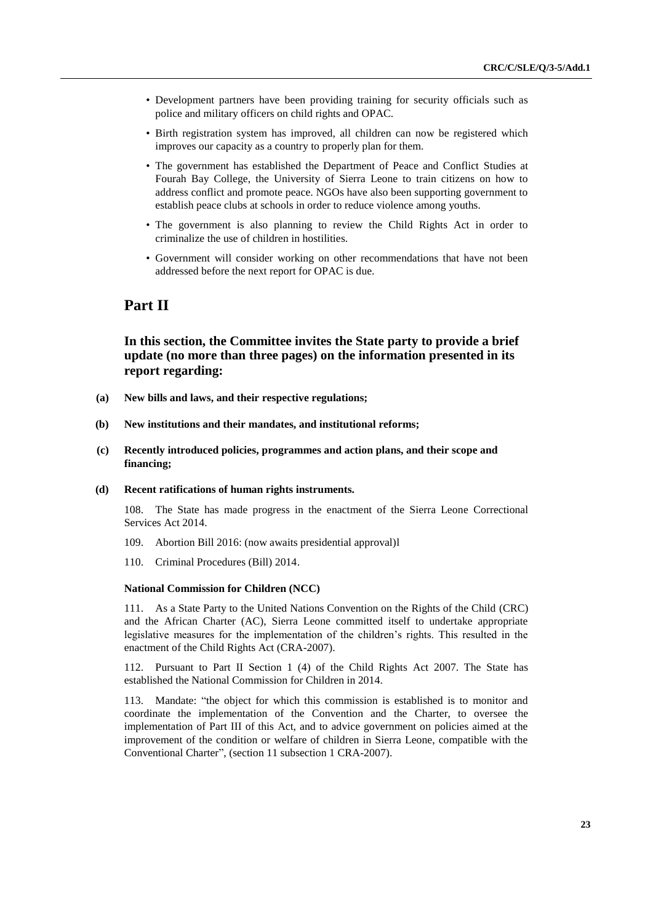- Development partners have been providing training for security officials such as police and military officers on child rights and OPAC.
- Birth registration system has improved, all children can now be registered which improves our capacity as a country to properly plan for them.
- The government has established the Department of Peace and Conflict Studies at Fourah Bay College, the University of Sierra Leone to train citizens on how to address conflict and promote peace. NGOs have also been supporting government to establish peace clubs at schools in order to reduce violence among youths.
- The government is also planning to review the Child Rights Act in order to criminalize the use of children in hostilities.
- Government will consider working on other recommendations that have not been addressed before the next report for OPAC is due.

## **Part II**

### **In this section, the Committee invites the State party to provide a brief update (no more than three pages) on the information presented in its report regarding:**

- **(a) New bills and laws, and their respective regulations;**
- **(b) New institutions and their mandates, and institutional reforms;**
- **(c) Recently introduced policies, programmes and action plans, and their scope and financing;**
- **(d) Recent ratifications of human rights instruments.**

108. The State has made progress in the enactment of the Sierra Leone Correctional Services Act 2014.

- 109. Abortion Bill 2016: (now awaits presidential approval)l
- 110. Criminal Procedures (Bill) 2014.

#### **National Commission for Children (NCC)**

111. As a State Party to the United Nations Convention on the Rights of the Child (CRC) and the African Charter (AC), Sierra Leone committed itself to undertake appropriate legislative measures for the implementation of the children's rights. This resulted in the enactment of the Child Rights Act (CRA-2007).

112. Pursuant to Part II Section 1 (4) of the Child Rights Act 2007. The State has established the National Commission for Children in 2014.

113. Mandate: "the object for which this commission is established is to monitor and coordinate the implementation of the Convention and the Charter, to oversee the implementation of Part III of this Act, and to advice government on policies aimed at the improvement of the condition or welfare of children in Sierra Leone, compatible with the Conventional Charter", (section 11 subsection 1 CRA-2007).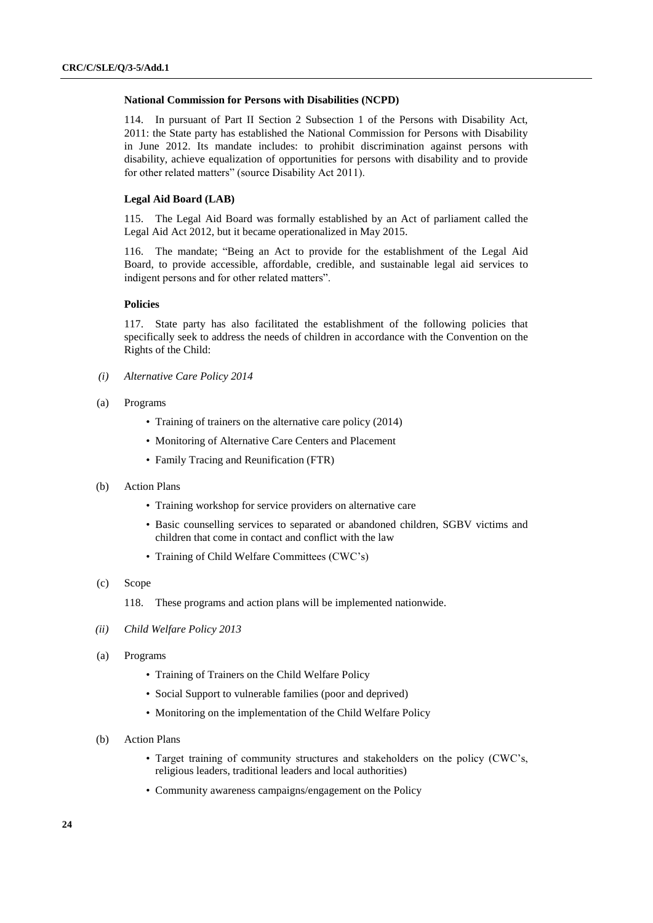#### **National Commission for Persons with Disabilities (NCPD)**

114. In pursuant of Part II Section 2 Subsection 1 of the Persons with Disability Act, 2011: the State party has established the National Commission for Persons with Disability in June 2012. Its mandate includes: to prohibit discrimination against persons with disability, achieve equalization of opportunities for persons with disability and to provide for other related matters" (source Disability Act 2011).

#### **Legal Aid Board (LAB)**

115. The Legal Aid Board was formally established by an Act of parliament called the Legal Aid Act 2012, but it became operationalized in May 2015.

116. The mandate; "Being an Act to provide for the establishment of the Legal Aid Board, to provide accessible, affordable, credible, and sustainable legal aid services to indigent persons and for other related matters".

#### **Policies**

117. State party has also facilitated the establishment of the following policies that specifically seek to address the needs of children in accordance with the Convention on the Rights of the Child:

- *(i) Alternative Care Policy 2014*
- (a) Programs
	- Training of trainers on the alternative care policy (2014)
	- Monitoring of Alternative Care Centers and Placement
	- Family Tracing and Reunification (FTR)
- (b) Action Plans
	- Training workshop for service providers on alternative care
	- Basic counselling services to separated or abandoned children, SGBV victims and children that come in contact and conflict with the law
	- Training of Child Welfare Committees (CWC's)
- (c) Scope

118. These programs and action plans will be implemented nationwide.

- *(ii) Child Welfare Policy 2013*
- (a) Programs
	- Training of Trainers on the Child Welfare Policy
	- Social Support to vulnerable families (poor and deprived)
	- Monitoring on the implementation of the Child Welfare Policy
- (b) Action Plans
	- Target training of community structures and stakeholders on the policy (CWC's, religious leaders, traditional leaders and local authorities)
	- Community awareness campaigns/engagement on the Policy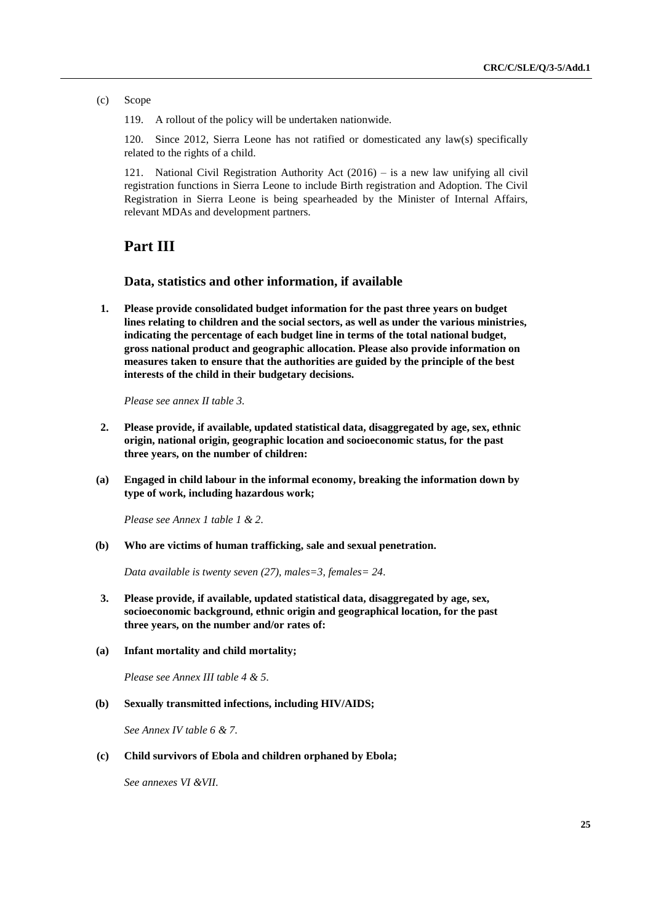(c) Scope

119. A rollout of the policy will be undertaken nationwide.

120. Since 2012, Sierra Leone has not ratified or domesticated any law(s) specifically related to the rights of a child.

121. National Civil Registration Authority Act (2016) – is a new law unifying all civil registration functions in Sierra Leone to include Birth registration and Adoption. The Civil Registration in Sierra Leone is being spearheaded by the Minister of Internal Affairs, relevant MDAs and development partners.

## **Part III**

#### **Data, statistics and other information, if available**

**1. Please provide consolidated budget information for the past three years on budget lines relating to children and the social sectors, as well as under the various ministries, indicating the percentage of each budget line in terms of the total national budget, gross national product and geographic allocation. Please also provide information on measures taken to ensure that the authorities are guided by the principle of the best interests of the child in their budgetary decisions.** 

*Please see annex II table 3.*

- **2. Please provide, if available, updated statistical data, disaggregated by age, sex, ethnic origin, national origin, geographic location and socioeconomic status, for the past three years, on the number of children:**
- **(a) Engaged in child labour in the informal economy, breaking the information down by type of work, including hazardous work;**

*Please see Annex 1 table 1 & 2.*

**(b) Who are victims of human trafficking, sale and sexual penetration.**

*Data available is twenty seven (27), males=3, females= 24.*

- **3. Please provide, if available, updated statistical data, disaggregated by age, sex, socioeconomic background, ethnic origin and geographical location, for the past three years, on the number and/or rates of:**
- **(a) Infant mortality and child mortality;**

*Please see Annex III table 4 & 5.*

**(b) Sexually transmitted infections, including HIV/AIDS;** 

*See Annex IV table 6 & 7.*

**(c) Child survivors of Ebola and children orphaned by Ebola;** 

*See annexes VI &VII.*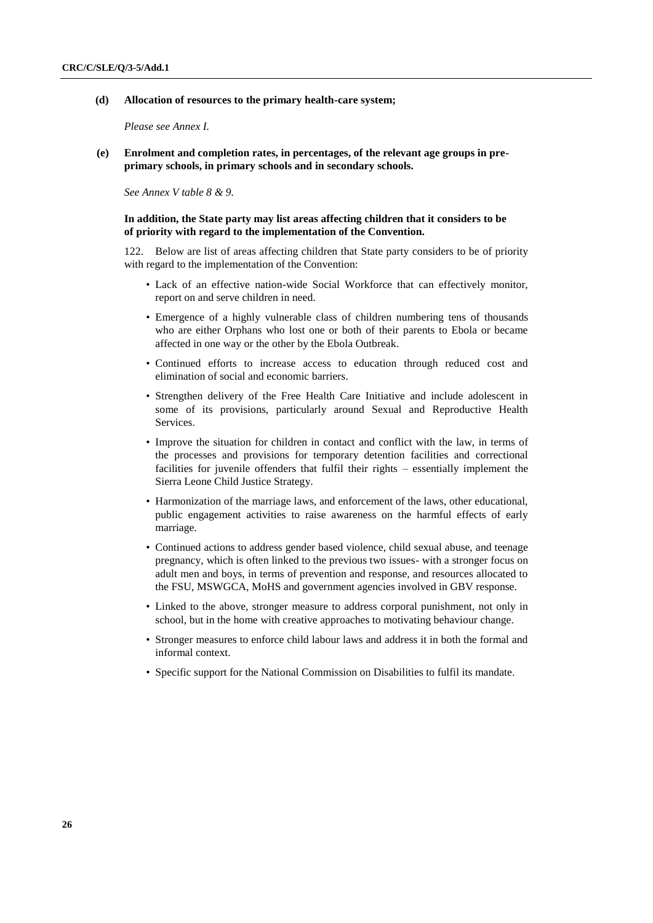**(d) Allocation of resources to the primary health-care system;** 

*Please see Annex I.*

**(e) Enrolment and completion rates, in percentages, of the relevant age groups in preprimary schools, in primary schools and in secondary schools.**

*See Annex V table 8 & 9.*

#### **In addition, the State party may list areas affecting children that it considers to be of priority with regard to the implementation of the Convention.**

122. Below are list of areas affecting children that State party considers to be of priority with regard to the implementation of the Convention:

- Lack of an effective nation-wide Social Workforce that can effectively monitor, report on and serve children in need.
- Emergence of a highly vulnerable class of children numbering tens of thousands who are either Orphans who lost one or both of their parents to Ebola or became affected in one way or the other by the Ebola Outbreak.
- Continued efforts to increase access to education through reduced cost and elimination of social and economic barriers.
- Strengthen delivery of the Free Health Care Initiative and include adolescent in some of its provisions, particularly around Sexual and Reproductive Health Services.
- Improve the situation for children in contact and conflict with the law, in terms of the processes and provisions for temporary detention facilities and correctional facilities for juvenile offenders that fulfil their rights – essentially implement the Sierra Leone Child Justice Strategy.
- Harmonization of the marriage laws, and enforcement of the laws, other educational, public engagement activities to raise awareness on the harmful effects of early marriage.
- Continued actions to address gender based violence, child sexual abuse, and teenage pregnancy, which is often linked to the previous two issues- with a stronger focus on adult men and boys, in terms of prevention and response, and resources allocated to the FSU, MSWGCA, MoHS and government agencies involved in GBV response.
- Linked to the above, stronger measure to address corporal punishment, not only in school, but in the home with creative approaches to motivating behaviour change.
- Stronger measures to enforce child labour laws and address it in both the formal and informal context.
- Specific support for the National Commission on Disabilities to fulfil its mandate.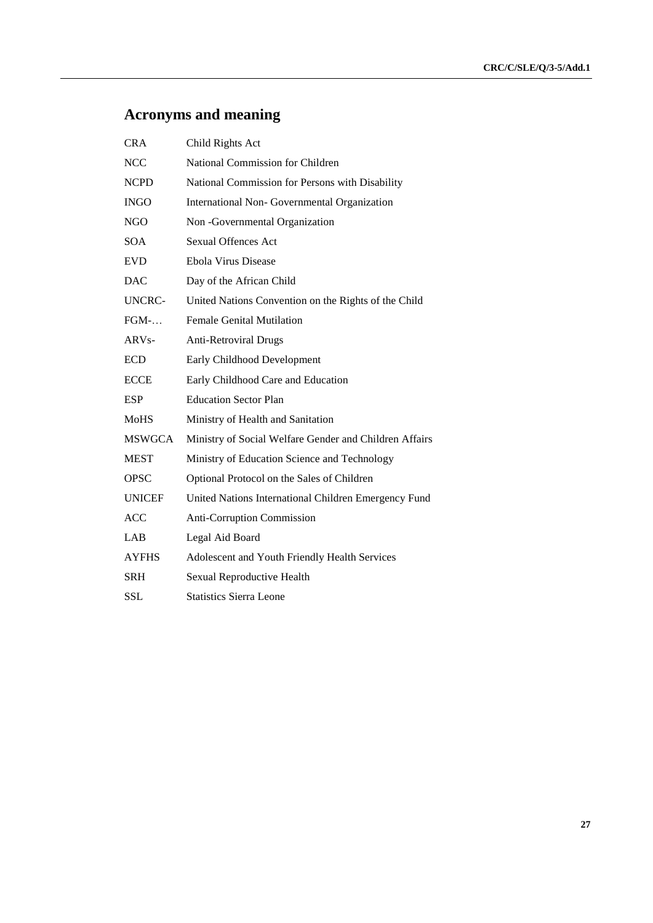# **Acronyms and meaning**

| <b>CRA</b>    | Child Rights Act                                       |
|---------------|--------------------------------------------------------|
| <b>NCC</b>    | National Commission for Children                       |
| <b>NCPD</b>   | National Commission for Persons with Disability        |
| <b>INGO</b>   | International Non- Governmental Organization           |
| <b>NGO</b>    | Non -Governmental Organization                         |
| <b>SOA</b>    | <b>Sexual Offences Act</b>                             |
| <b>EVD</b>    | Ebola Virus Disease                                    |
| <b>DAC</b>    | Day of the African Child                               |
| <b>UNCRC-</b> | United Nations Convention on the Rights of the Child   |
| $FGM$ -       | <b>Female Genital Mutilation</b>                       |
| $ARVs-$       | <b>Anti-Retroviral Drugs</b>                           |
| <b>ECD</b>    | Early Childhood Development                            |
| <b>ECCE</b>   | Early Childhood Care and Education                     |
| <b>ESP</b>    | <b>Education Sector Plan</b>                           |
| <b>MoHS</b>   | Ministry of Health and Sanitation                      |
| <b>MSWGCA</b> | Ministry of Social Welfare Gender and Children Affairs |
| <b>MEST</b>   | Ministry of Education Science and Technology           |
| <b>OPSC</b>   | Optional Protocol on the Sales of Children             |
| <b>UNICEF</b> | United Nations International Children Emergency Fund   |
| <b>ACC</b>    | Anti-Corruption Commission                             |
| LAB           | Legal Aid Board                                        |
| <b>AYFHS</b>  | Adolescent and Youth Friendly Health Services          |
| <b>SRH</b>    | Sexual Reproductive Health                             |
| <b>SSL</b>    | <b>Statistics Sierra Leone</b>                         |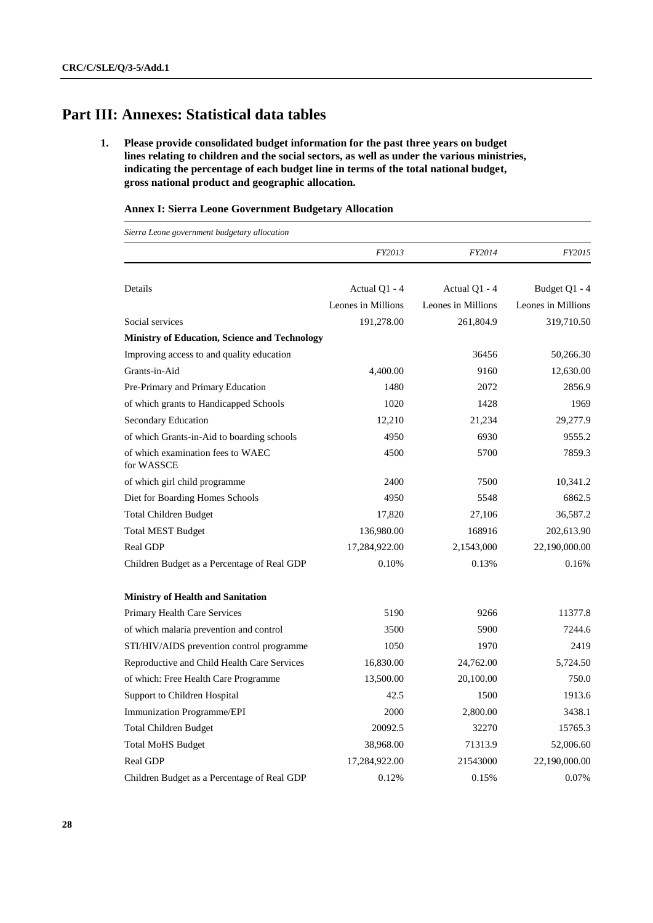# **Part III: Annexes: Statistical data tables**

**1. Please provide consolidated budget information for the past three years on budget lines relating to children and the social sectors, as well as under the various ministries, indicating the percentage of each budget line in terms of the total national budget, gross national product and geographic allocation.** 

#### **Annex I: Sierra Leone Government Budgetary Allocation**

*Sierra Leone government budgetary allocation*

|                                                 | FY2013             | FY2014             | FY2015             |
|-------------------------------------------------|--------------------|--------------------|--------------------|
|                                                 |                    |                    |                    |
| Details                                         | Actual Q1 - 4      | Actual Q1 - 4      | Budget Q1 - 4      |
|                                                 | Leones in Millions | Leones in Millions | Leones in Millions |
| Social services                                 | 191,278.00         | 261,804.9          | 319,710.50         |
| Ministry of Education, Science and Technology   |                    |                    |                    |
| Improving access to and quality education       |                    | 36456              | 50,266.30          |
| Grants-in-Aid                                   | 4,400.00           | 9160               | 12,630.00          |
| Pre-Primary and Primary Education               | 1480               | 2072               | 2856.9             |
| of which grants to Handicapped Schools          | 1020               | 1428               | 1969               |
| Secondary Education                             | 12,210             | 21,234             | 29,277.9           |
| of which Grants-in-Aid to boarding schools      | 4950               | 6930               | 9555.2             |
| of which examination fees to WAEC<br>for WASSCE | 4500               | 5700               | 7859.3             |
| of which girl child programme                   | 2400               | 7500               | 10,341.2           |
| Diet for Boarding Homes Schools                 | 4950               | 5548               | 6862.5             |
| <b>Total Children Budget</b>                    | 17,820             | 27,106             | 36,587.2           |
| <b>Total MEST Budget</b>                        | 136,980.00         | 168916             | 202,613.90         |
| <b>Real GDP</b>                                 | 17,284,922.00      | 2,1543,000         | 22,190,000.00      |
| Children Budget as a Percentage of Real GDP     | 0.10%              | 0.13%              | 0.16%              |
| <b>Ministry of Health and Sanitation</b>        |                    |                    |                    |
| Primary Health Care Services                    | 5190               | 9266               | 11377.8            |
| of which malaria prevention and control         | 3500               | 5900               | 7244.6             |
| STI/HIV/AIDS prevention control programme       | 1050               | 1970               | 2419               |
| Reproductive and Child Health Care Services     | 16,830.00          | 24,762.00          | 5,724.50           |
| of which: Free Health Care Programme            | 13,500.00          | 20,100.00          | 750.0              |
| Support to Children Hospital                    | 42.5               | 1500               | 1913.6             |
| Immunization Programme/EPI                      | 2000               | 2,800.00           | 3438.1             |
| <b>Total Children Budget</b>                    | 20092.5            | 32270              | 15765.3            |
| <b>Total MoHS Budget</b>                        | 38,968.00          | 71313.9            | 52,006.60          |
| Real GDP                                        | 17,284,922.00      | 21543000           | 22,190,000.00      |
| Children Budget as a Percentage of Real GDP     | 0.12%              | 0.15%              | 0.07%              |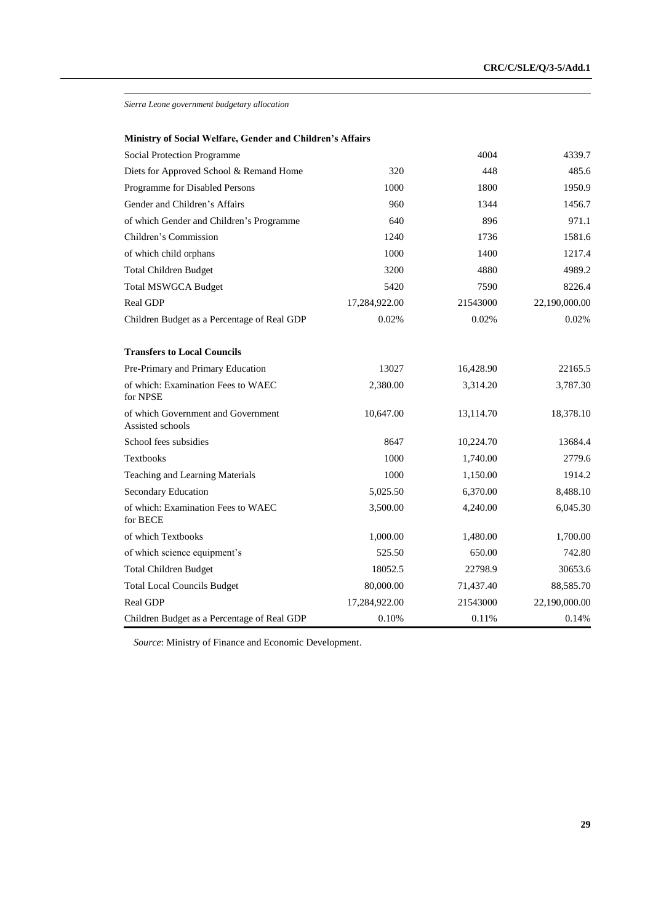*Sierra Leone government budgetary allocation*

| Ministry of Social Welfare, Gender and Children's Affairs |  |  |  |
|-----------------------------------------------------------|--|--|--|
|-----------------------------------------------------------|--|--|--|

| Social Protection Programme                            |               | 4004      | 4339.7        |
|--------------------------------------------------------|---------------|-----------|---------------|
| Diets for Approved School & Remand Home                | 320           | 448       | 485.6         |
| Programme for Disabled Persons                         | 1000          | 1800      | 1950.9        |
| Gender and Children's Affairs                          | 960           | 1344      | 1456.7        |
| of which Gender and Children's Programme               | 640           | 896       | 971.1         |
| Children's Commission                                  | 1240          | 1736      | 1581.6        |
| of which child orphans                                 | 1000          | 1400      | 1217.4        |
| <b>Total Children Budget</b>                           | 3200          | 4880      | 4989.2        |
| <b>Total MSWGCA Budget</b>                             | 5420          | 7590      | 8226.4        |
| Real GDP                                               | 17,284,922.00 | 21543000  | 22,190,000.00 |
| Children Budget as a Percentage of Real GDP            | 0.02%         | 0.02%     | 0.02%         |
| <b>Transfers to Local Councils</b>                     |               |           |               |
| Pre-Primary and Primary Education                      | 13027         | 16,428.90 | 22165.5       |
| of which: Examination Fees to WAEC<br>for NPSE         | 2,380.00      | 3,314.20  | 3,787.30      |
| of which Government and Government<br>Assisted schools | 10,647.00     | 13,114.70 | 18,378.10     |
| School fees subsidies                                  | 8647          | 10,224.70 | 13684.4       |
| Textbooks                                              | 1000          | 1,740.00  | 2779.6        |
| Teaching and Learning Materials                        | 1000          | 1,150.00  | 1914.2        |
| Secondary Education                                    | 5,025.50      | 6,370.00  | 8,488.10      |
| of which: Examination Fees to WAEC<br>for BECE         | 3,500.00      | 4,240.00  | 6,045.30      |
| of which Textbooks                                     | 1,000.00      | 1,480.00  | 1,700.00      |
| of which science equipment's                           | 525.50        | 650.00    | 742.80        |
| <b>Total Children Budget</b>                           | 18052.5       | 22798.9   | 30653.6       |
| <b>Total Local Councils Budget</b>                     | 80,000.00     | 71,437.40 | 88,585.70     |
| Real GDP                                               | 17,284,922.00 | 21543000  | 22,190,000.00 |
| Children Budget as a Percentage of Real GDP            | 0.10%         | 0.11%     | 0.14%         |

*Source*: Ministry of Finance and Economic Development.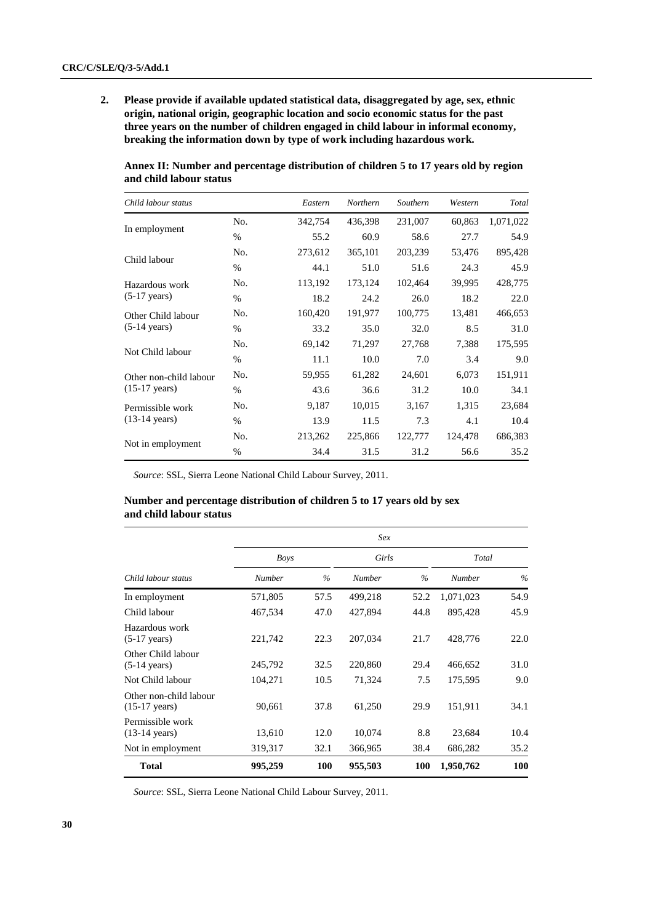Permissible work (13-14 years)

Not in employment

**2. Please provide if available updated statistical data, disaggregated by age, sex, ethnic origin, national origin, geographic location and socio economic status for the past three years on the number of children engaged in child labour in informal economy, breaking the information down by type of work including hazardous work.**

| Child labour status     |      | Eastern | Northern | Southern | Western | Total     |
|-------------------------|------|---------|----------|----------|---------|-----------|
|                         | No.  | 342,754 | 436,398  | 231,007  | 60.863  | 1,071,022 |
| In employment           | $\%$ | 55.2    | 60.9     | 58.6     | 27.7    | 54.9      |
|                         | No.  | 273,612 | 365,101  | 203,239  | 53,476  | 895,428   |
| Child labour            | $\%$ | 44.1    | 51.0     | 51.6     | 24.3    | 45.9      |
| Hazardous work          | No.  | 113,192 | 173,124  | 102,464  | 39,995  | 428,775   |
| $(5-17 \text{ years})$  | $\%$ | 18.2    | 24.2     | 26.0     | 18.2    | 22.0      |
| Other Child labour      | No.  | 160.420 | 191,977  | 100.775  | 13,481  | 466,653   |
| $(5-14 \text{ years})$  | $\%$ | 33.2    | 35.0     | 32.0     | 8.5     | 31.0      |
|                         | No.  | 69,142  | 71.297   | 27,768   | 7,388   | 175,595   |
| Not Child labour        | $\%$ | 11.1    | 10.0     | 7.0      | 3.4     | 9.0       |
| Other non-child labour  | No.  | 59,955  | 61,282   | 24,601   | 6,073   | 151,911   |
| $(15-17 \text{ years})$ | $\%$ | 43.6    | 36.6     | 31.2     | 10.0    | 34.1      |

No. 9,187 10,015 3,167 1,315 23,684 % 13.9 11.5 7.3 4.1 10.4

No. 213,262 225,866 122,777 124,478 686,383 % 34.4 31.5 31.2 56.6 35.2

**Annex II: Number and percentage distribution of children 5 to 17 years old by region and child labour status**

*Source*: SSL, Sierra Leone National Child Labour Survey, 2011.

#### **Number and percentage distribution of children 5 to 17 years old by sex and child labour status**

|                                                   |             |               | Sex           |               |               |               |
|---------------------------------------------------|-------------|---------------|---------------|---------------|---------------|---------------|
|                                                   | <b>Boys</b> |               | Girls         |               | Total         |               |
| Child labour status                               | Number      | $\frac{0}{0}$ | <b>Number</b> | $\frac{0}{6}$ | <b>Number</b> | $\frac{0}{0}$ |
| In employment                                     | 571,805     | 57.5          | 499,218       | 52.2          | 1,071,023     | 54.9          |
| Child labour                                      | 467,534     | 47.0          | 427,894       | 44.8          | 895,428       | 45.9          |
| Hazardous work<br>$(5-17 \text{ years})$          | 221,742     | 22.3          | 207,034       | 21.7          | 428,776       | 22.0          |
| Other Child labour<br>$(5-14 \text{ years})$      | 245,792     | 32.5          | 220,860       | 29.4          | 466,652       | 31.0          |
| Not Child labour                                  | 104,271     | 10.5          | 71,324        | 7.5           | 175,595       | 9.0           |
| Other non-child labour<br>$(15-17 \text{ years})$ | 90,661      | 37.8          | 61,250        | 29.9          | 151,911       | 34.1          |
| Permissible work<br>$(13-14 \text{ years})$       | 13,610      | 12.0          | 10,074        | 8.8           | 23,684        | 10.4          |
| Not in employment                                 | 319,317     | 32.1          | 366,965       | 38.4          | 686,282       | 35.2          |
| <b>Total</b>                                      | 995,259     | 100           | 955,503       | 100           | 1,950,762     | 100           |

*Source*: SSL, Sierra Leone National Child Labour Survey, 2011.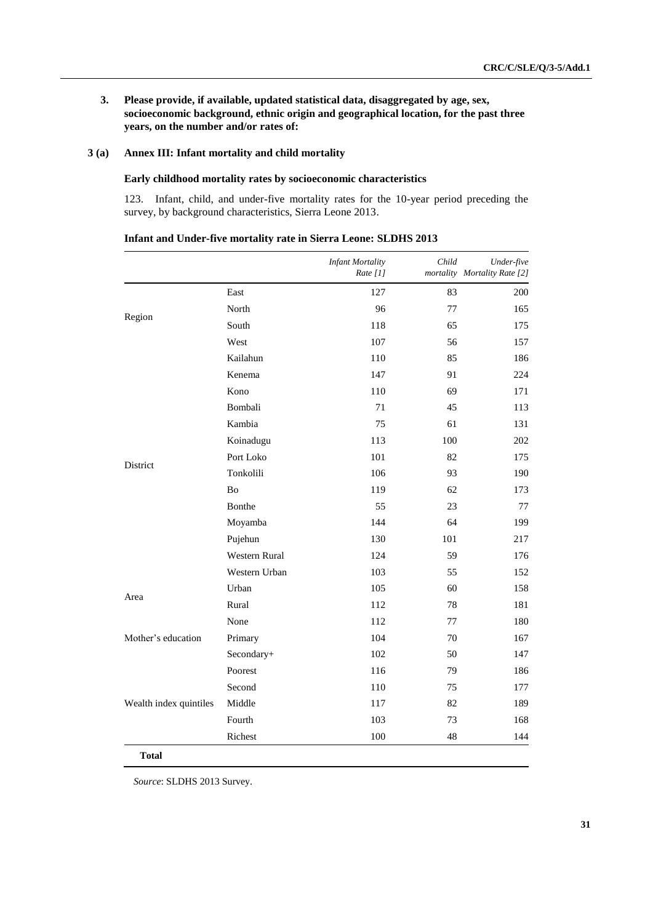**3. Please provide, if available, updated statistical data, disaggregated by age, sex, socioeconomic background, ethnic origin and geographical location, for the past three years, on the number and/or rates of:**

#### **3 (a) Annex III: Infant mortality and child mortality**

#### **Early childhood mortality rates by socioeconomic characteristics**

123. Infant, child, and under-five mortality rates for the 10-year period preceding the survey, by background characteristics, Sierra Leone 2013.

|                        |               | <b>Infant Mortality</b><br>Rate $[1]$ | Child | Under-five<br>mortality Mortality Rate [2] |
|------------------------|---------------|---------------------------------------|-------|--------------------------------------------|
|                        | East          | 127                                   | 83    | 200                                        |
|                        | North         | 96                                    | 77    | 165                                        |
| Region                 | South         | 118                                   | 65    | 175                                        |
|                        | West          | 107                                   | 56    | 157                                        |
|                        | Kailahun      | 110                                   | 85    | 186                                        |
|                        | Kenema        | 147                                   | 91    | 224                                        |
|                        | Kono          | 110                                   | 69    | 171                                        |
|                        | Bombali       | 71                                    | 45    | 113                                        |
|                        | Kambia        | 75                                    | 61    | 131                                        |
|                        | Koinadugu     | 113                                   | 100   | 202                                        |
| District               | Port Loko     | 101                                   | 82    | 175                                        |
|                        | Tonkolili     | 106                                   | 93    | 190                                        |
|                        | Bo            | 119                                   | 62    | 173                                        |
|                        | Bonthe        | 55                                    | 23    | 77                                         |
|                        | Moyamba       | 144                                   | 64    | 199                                        |
|                        | Pujehun       | 130                                   | 101   | 217                                        |
|                        | Western Rural | 124                                   | 59    | 176                                        |
|                        | Western Urban | 103                                   | 55    | 152                                        |
| Area                   | Urban         | 105                                   | 60    | 158                                        |
|                        | Rural         | 112                                   | 78    | 181                                        |
|                        | None          | 112                                   | 77    | 180                                        |
| Mother's education     | Primary       | 104                                   | 70    | 167                                        |
|                        | Secondary+    | 102                                   | 50    | 147                                        |
|                        | Poorest       | 116                                   | 79    | 186                                        |
|                        | Second        | 110                                   | 75    | 177                                        |
| Wealth index quintiles | Middle        | 117                                   | 82    | 189                                        |
|                        | Fourth        | 103                                   | 73    | 168                                        |
|                        | Richest       | 100                                   | 48    | 144                                        |

**Infant and Under-five mortality rate in Sierra Leone: SLDHS 2013**

*Source*: SLDHS 2013 Survey.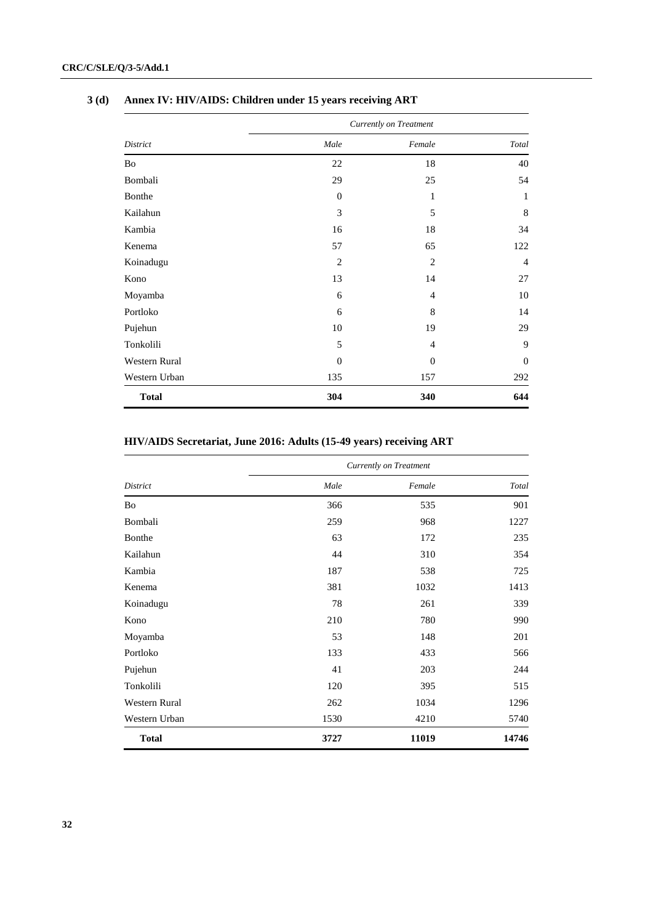|               | Currently on Treatment |                |                |  |  |  |  |
|---------------|------------------------|----------------|----------------|--|--|--|--|
| District      | Male                   | Female         | Total          |  |  |  |  |
| Bo            | 22                     | 18             | 40             |  |  |  |  |
| Bombali       | 29                     | 25             | 54             |  |  |  |  |
| Bonthe        | $\mathbf{0}$           | $\mathbf{1}$   | 1              |  |  |  |  |
| Kailahun      | 3                      | 5              | 8              |  |  |  |  |
| Kambia        | 16                     | 18             | 34             |  |  |  |  |
| Kenema        | 57                     | 65             | 122            |  |  |  |  |
| Koinadugu     | 2                      | 2              | $\overline{4}$ |  |  |  |  |
| Kono          | 13                     | 14             | 27             |  |  |  |  |
| Moyamba       | 6                      | $\overline{4}$ | 10             |  |  |  |  |
| Portloko      | 6                      | 8              | 14             |  |  |  |  |
| Pujehun       | 10                     | 19             | 29             |  |  |  |  |
| Tonkolili     | 5                      | $\overline{4}$ | 9              |  |  |  |  |
| Western Rural | $\mathbf{0}$           | $\mathbf{0}$   | $\mathbf{0}$   |  |  |  |  |
| Western Urban | 135                    | 157            | 292            |  |  |  |  |
| <b>Total</b>  | 304                    | 340            | 644            |  |  |  |  |

# **3 (d) Annex IV: HIV/AIDS: Children under 15 years receiving ART**

# **HIV/AIDS Secretariat, June 2016: Adults (15-49 years) receiving ART**

|               | <b>Currently on Treatment</b> |        |       |  |  |  |  |
|---------------|-------------------------------|--------|-------|--|--|--|--|
| District      | Male                          | Female | Total |  |  |  |  |
| Bo            | 366                           | 535    | 901   |  |  |  |  |
| Bombali       | 259                           | 968    | 1227  |  |  |  |  |
| Bonthe        | 63                            | 172    | 235   |  |  |  |  |
| Kailahun      | 44                            | 310    | 354   |  |  |  |  |
| Kambia        | 187                           | 538    | 725   |  |  |  |  |
| Kenema        | 381                           | 1032   | 1413  |  |  |  |  |
| Koinadugu     | 78                            | 261    | 339   |  |  |  |  |
| Kono          | 210                           | 780    | 990   |  |  |  |  |
| Moyamba       | 53                            | 148    | 201   |  |  |  |  |
| Portloko      | 133                           | 433    | 566   |  |  |  |  |
| Pujehun       | 41                            | 203    | 244   |  |  |  |  |
| Tonkolili     | 120                           | 395    | 515   |  |  |  |  |
| Western Rural | 262                           | 1034   | 1296  |  |  |  |  |
| Western Urban | 1530                          | 4210   | 5740  |  |  |  |  |
| <b>Total</b>  | 3727                          | 11019  | 14746 |  |  |  |  |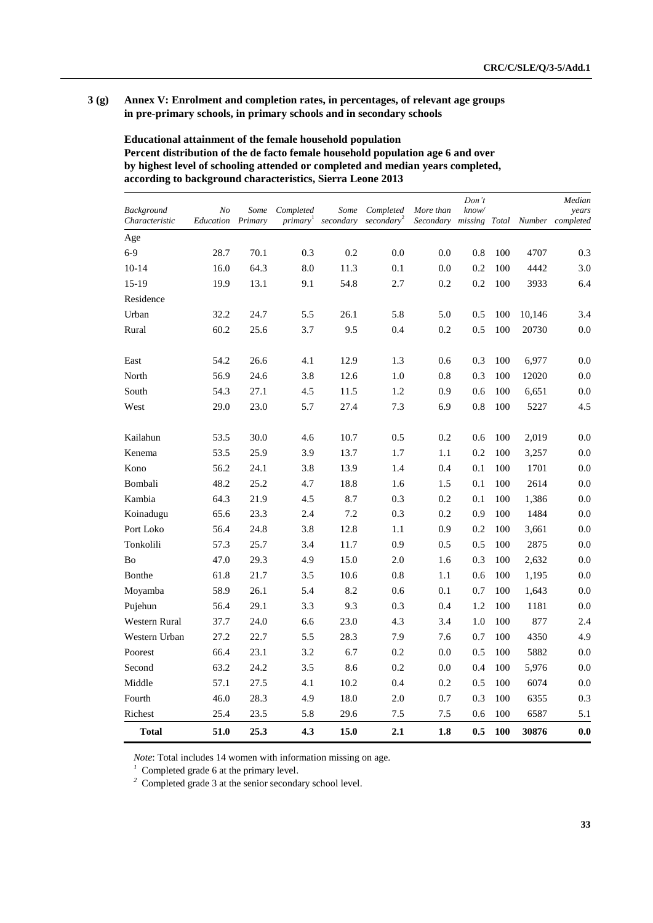#### **3 (g) Annex V: Enrolment and completion rates, in percentages, of relevant age groups in pre-primary schools, in primary schools and in secondary schools**

**Educational attainment of the female household population Percent distribution of the de facto female household population age 6 and over by highest level of schooling attended or completed and median years completed, according to background characteristics, Sierra Leone 2013**

| Background     | N <sub>o</sub> | Some    | Completed            | Some      | Completed              | More than | Don't<br>know/ |       |        | Median<br>years |
|----------------|----------------|---------|----------------------|-----------|------------------------|-----------|----------------|-------|--------|-----------------|
| Characteristic | Education      | Primary | primary <sup>1</sup> | secondary | secondary <sup>2</sup> | Secondary | missing        | Total | Number | completed       |
| Age            |                |         |                      |           |                        |           |                |       |        |                 |
| $6-9$          | 28.7           | 70.1    | 0.3                  | 0.2       | 0.0                    | 0.0       | 0.8            | 100   | 4707   | 0.3             |
| $10-14$        | 16.0           | 64.3    | 8.0                  | 11.3      | 0.1                    | $0.0\,$   | 0.2            | 100   | 4442   | 3.0             |
| $15-19$        | 19.9           | 13.1    | 9.1                  | 54.8      | 2.7                    | 0.2       | 0.2            | 100   | 3933   | 6.4             |
| Residence      |                |         |                      |           |                        |           |                |       |        |                 |
| Urban          | 32.2           | 24.7    | 5.5                  | 26.1      | 5.8                    | 5.0       | 0.5            | 100   | 10,146 | 3.4             |
| Rural          | 60.2           | 25.6    | 3.7                  | 9.5       | 0.4                    | 0.2       | 0.5            | 100   | 20730  | 0.0             |
| East           | 54.2           | 26.6    | 4.1                  | 12.9      | 1.3                    | 0.6       | 0.3            | 100   | 6,977  | 0.0             |
| North          | 56.9           | 24.6    | 3.8                  | 12.6      | 1.0                    | $0.8\,$   | 0.3            | 100   | 12020  | $0.0\,$         |
| South          | 54.3           | 27.1    | 4.5                  | 11.5      | 1.2                    | 0.9       | 0.6            | 100   | 6,651  | $0.0\,$         |
| West           | 29.0           | 23.0    | 5.7                  | 27.4      | 7.3                    | 6.9       | 0.8            | 100   | 5227   | 4.5             |
| Kailahun       | 53.5           | 30.0    | 4.6                  | 10.7      | 0.5                    | 0.2       | 0.6            | 100   | 2,019  | 0.0             |
| Kenema         | 53.5           | 25.9    | 3.9                  | 13.7      | 1.7                    | 1.1       | 0.2            | 100   | 3,257  | 0.0             |
| Kono           | 56.2           | 24.1    | 3.8                  | 13.9      | 1.4                    | 0.4       | 0.1            | 100   | 1701   | 0.0             |
| Bombali        | 48.2           | 25.2    | 4.7                  | 18.8      | 1.6                    | 1.5       | 0.1            | 100   | 2614   | 0.0             |
| Kambia         | 64.3           | 21.9    | 4.5                  | 8.7       | 0.3                    | 0.2       | 0.1            | 100   | 1,386  | 0.0             |
| Koinadugu      | 65.6           | 23.3    | 2.4                  | 7.2       | 0.3                    | 0.2       | 0.9            | 100   | 1484   | 0.0             |
| Port Loko      | 56.4           | 24.8    | 3.8                  | 12.8      | 1.1                    | 0.9       | 0.2            | 100   | 3,661  | 0.0             |
| Tonkolili      | 57.3           | 25.7    | 3.4                  | 11.7      | 0.9                    | 0.5       | 0.5            | 100   | 2875   | 0.0             |
| Bo             | 47.0           | 29.3    | 4.9                  | 15.0      | 2.0                    | 1.6       | 0.3            | 100   | 2,632  | 0.0             |
| Bonthe         | 61.8           | 21.7    | 3.5                  | 10.6      | 0.8                    | 1.1       | 0.6            | 100   | 1,195  | 0.0             |
| Moyamba        | 58.9           | 26.1    | 5.4                  | 8.2       | 0.6                    | 0.1       | 0.7            | 100   | 1,643  | 0.0             |
| Pujehun        | 56.4           | 29.1    | 3.3                  | 9.3       | 0.3                    | 0.4       | 1.2            | 100   | 1181   | 0.0             |
| Western Rural  | 37.7           | 24.0    | 6.6                  | 23.0      | 4.3                    | 3.4       | 1.0            | 100   | 877    | 2.4             |
| Western Urban  | 27.2           | 22.7    | 5.5                  | 28.3      | 7.9                    | 7.6       | 0.7            | 100   | 4350   | 4.9             |
| Poorest        | 66.4           | 23.1    | 3.2                  | 6.7       | 0.2                    | 0.0       | 0.5            | 100   | 5882   | 0.0             |
| Second         | 63.2           | 24.2    | 3.5                  | 8.6       | 0.2                    | 0.0       | 0.4            | 100   | 5,976  | 0.0             |
| Middle         | 57.1           | 27.5    | 4.1                  | 10.2      | 0.4                    | 0.2       | 0.5            | 100   | 6074   | 0.0             |
| Fourth         | 46.0           | 28.3    | 4.9                  | 18.0      | 2.0                    | 0.7       | 0.3            | 100   | 6355   | 0.3             |
| Richest        | 25.4           | 23.5    | 5.8                  | 29.6      | 7.5                    | 7.5       | 0.6            | 100   | 6587   | 5.1             |
| Total          | 51.0           | 25.3    | 4.3                  | 15.0      | 2.1                    | 1.8       | 0.5            | 100   | 30876  | 0.0             |

*Note*: Total includes 14 women with information missing on age.

<sup>1</sup> Completed grade 6 at the primary level.

<sup>2</sup> Completed grade 3 at the senior secondary school level.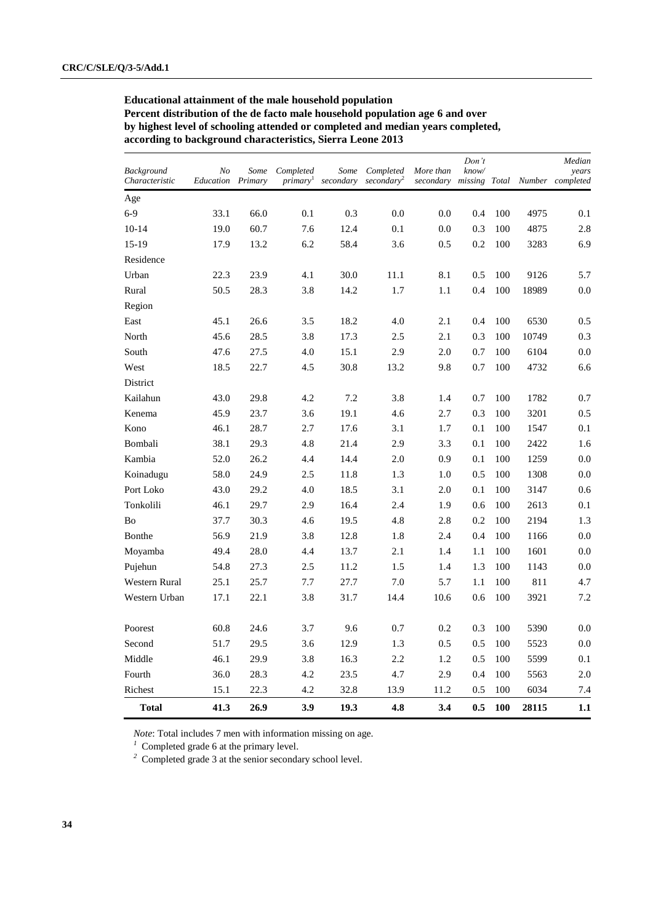**Educational attainment of the male household population Percent distribution of the de facto male household population age 6 and over by highest level of schooling attended or completed and median years completed, according to background characteristics, Sierra Leone 2013**

| <b>Background</b><br>Characteristic | No<br><b>Education</b> Primary | Some | Completed<br><i>primary</i> | Some<br>secondary | Completed<br>secondary <sup>2</sup> | More than | Don't<br>know/ |     |       | Median<br>years<br>secondary missing Total Number completed |
|-------------------------------------|--------------------------------|------|-----------------------------|-------------------|-------------------------------------|-----------|----------------|-----|-------|-------------------------------------------------------------|
| Age                                 |                                |      |                             |                   |                                     |           |                |     |       |                                                             |
| $6-9$                               | 33.1                           | 66.0 | 0.1                         | 0.3               | 0.0                                 | 0.0       | 0.4            | 100 | 4975  | 0.1                                                         |
| $10-14$                             | 19.0                           | 60.7 | 7.6                         | 12.4              | 0.1                                 | 0.0       | 0.3            | 100 | 4875  | 2.8                                                         |
| 15-19                               | 17.9                           | 13.2 | 6.2                         | 58.4              | 3.6                                 | 0.5       | 0.2            | 100 | 3283  | 6.9                                                         |
| Residence                           |                                |      |                             |                   |                                     |           |                |     |       |                                                             |
| Urban                               | 22.3                           | 23.9 | 4.1                         | 30.0              | 11.1                                | 8.1       | 0.5            | 100 | 9126  | 5.7                                                         |
| Rural                               | 50.5                           | 28.3 | 3.8                         | 14.2              | 1.7                                 | 1.1       | 0.4            | 100 | 18989 | $0.0\,$                                                     |
| Region                              |                                |      |                             |                   |                                     |           |                |     |       |                                                             |
| East                                | 45.1                           | 26.6 | 3.5                         | 18.2              | 4.0                                 | 2.1       | 0.4            | 100 | 6530  | 0.5                                                         |
| North                               | 45.6                           | 28.5 | 3.8                         | 17.3              | 2.5                                 | 2.1       | 0.3            | 100 | 10749 | 0.3                                                         |
| South                               | 47.6                           | 27.5 | 4.0                         | 15.1              | 2.9                                 | 2.0       | 0.7            | 100 | 6104  | $0.0\,$                                                     |
| West                                | 18.5                           | 22.7 | 4.5                         | 30.8              | 13.2                                | 9.8       | 0.7            | 100 | 4732  | 6.6                                                         |
| District                            |                                |      |                             |                   |                                     |           |                |     |       |                                                             |
| Kailahun                            | 43.0                           | 29.8 | 4.2                         | 7.2               | 3.8                                 | 1.4       | 0.7            | 100 | 1782  | 0.7                                                         |
| Kenema                              | 45.9                           | 23.7 | 3.6                         | 19.1              | 4.6                                 | 2.7       | 0.3            | 100 | 3201  | 0.5                                                         |
| Kono                                | 46.1                           | 28.7 | 2.7                         | 17.6              | 3.1                                 | 1.7       | 0.1            | 100 | 1547  | 0.1                                                         |
| Bombali                             | 38.1                           | 29.3 | 4.8                         | 21.4              | 2.9                                 | 3.3       | 0.1            | 100 | 2422  | 1.6                                                         |
| Kambia                              | 52.0                           | 26.2 | 4.4                         | 14.4              | 2.0                                 | 0.9       | 0.1            | 100 | 1259  | $0.0\,$                                                     |
| Koinadugu                           | 58.0                           | 24.9 | 2.5                         | 11.8              | 1.3                                 | 1.0       | 0.5            | 100 | 1308  | 0.0                                                         |
| Port Loko                           | 43.0                           | 29.2 | 4.0                         | 18.5              | 3.1                                 | 2.0       | 0.1            | 100 | 3147  | 0.6                                                         |
| Tonkolili                           | 46.1                           | 29.7 | 2.9                         | 16.4              | 2.4                                 | 1.9       | 0.6            | 100 | 2613  | 0.1                                                         |
| Bo                                  | 37.7                           | 30.3 | 4.6                         | 19.5              | 4.8                                 | 2.8       | 0.2            | 100 | 2194  | 1.3                                                         |
| Bonthe                              | 56.9                           | 21.9 | 3.8                         | 12.8              | 1.8                                 | 2.4       | 0.4            | 100 | 1166  | 0.0                                                         |
| Moyamba                             | 49.4                           | 28.0 | 4.4                         | 13.7              | 2.1                                 | 1.4       | 1.1            | 100 | 1601  | 0.0                                                         |
| Pujehun                             | 54.8                           | 27.3 | 2.5                         | 11.2              | 1.5                                 | 1.4       | 1.3            | 100 | 1143  | 0.0                                                         |
| Western Rural                       | 25.1                           | 25.7 | 7.7                         | 27.7              | 7.0                                 | 5.7       | 1.1            | 100 | 811   | 4.7                                                         |
| Western Urban                       | 17.1                           | 22.1 | 3.8                         | 31.7              | 14.4                                | 10.6      | 0.6            | 100 | 3921  | 7.2                                                         |
| Poorest                             | 60.8                           | 24.6 | 3.7                         | 9.6               | 0.7                                 | 0.2       | 0.3            | 100 | 5390  | 0.0                                                         |
| Second                              | 51.7                           | 29.5 | 3.6                         | 12.9              | 1.3                                 | 0.5       | 0.5            | 100 | 5523  | $0.0\,$                                                     |
| Middle                              | 46.1                           | 29.9 | 3.8                         | 16.3              | 2.2                                 | 1.2       | 0.5            | 100 | 5599  | 0.1                                                         |
| Fourth                              | 36.0                           | 28.3 | 4.2                         | 23.5              | 4.7                                 | 2.9       | 0.4            | 100 | 5563  | 2.0                                                         |
| Richest                             | 15.1                           | 22.3 | 4.2                         | 32.8              | 13.9                                | 11.2      | 0.5            | 100 | 6034  | 7.4                                                         |
| <b>Total</b>                        | 41.3                           | 26.9 | 3.9                         | 19.3              | 4.8                                 | 3.4       | 0.5            | 100 | 28115 | 1.1                                                         |

*Note*: Total includes 7 men with information missing on age.

<sup>1</sup> Completed grade 6 at the primary level.

*<sup>2</sup>* Completed grade 3 at the senior secondary school level.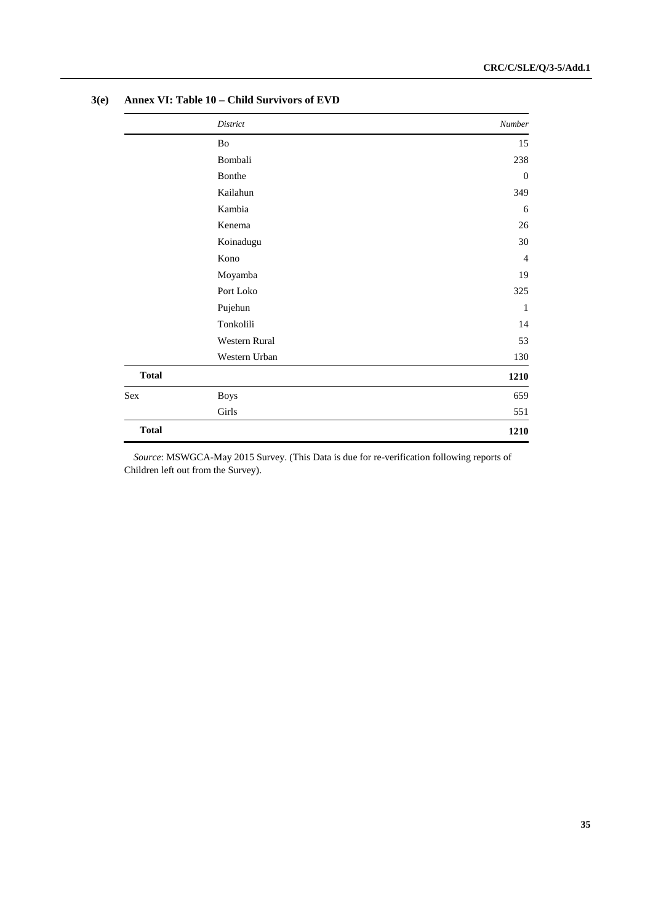|              | District      | Number         |
|--------------|---------------|----------------|
|              | Bo            | 15             |
|              | Bombali       | 238            |
|              | Bonthe        | $\mathbf{0}$   |
|              | Kailahun      | 349            |
|              | Kambia        | 6              |
|              | Kenema        | 26             |
|              | Koinadugu     | 30             |
|              | Kono          | $\overline{4}$ |
|              | Moyamba       | 19             |
|              | Port Loko     | 325            |
|              | Pujehun       | 1              |
|              | Tonkolili     | 14             |
|              | Western Rural | 53             |
|              | Western Urban | 130            |
| <b>Total</b> |               | 1210           |
| Sex          | <b>Boys</b>   | 659            |
|              | Girls         | 551            |
| <b>Total</b> |               | 1210           |

#### **3(e) Annex VI: Table 10 – Child Survivors of EVD**

*Source*: MSWGCA-May 2015 Survey. (This Data is due for re-verification following reports of Children left out from the Survey).